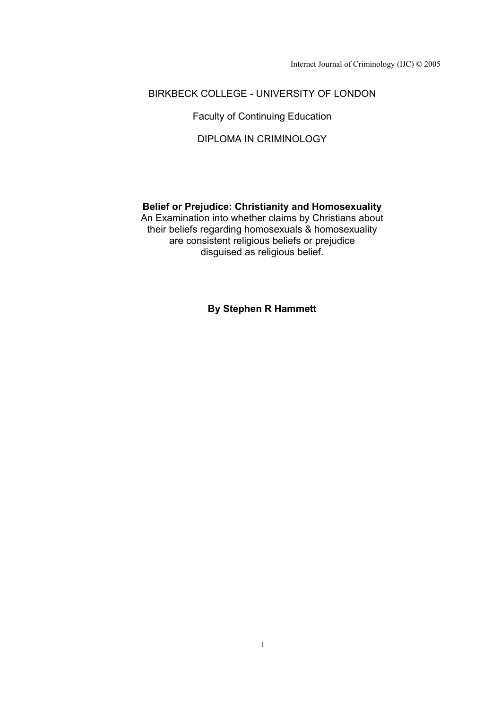Internet Journal of Criminology (IJC) © 2005

## BIRKBECK COLLEGE - UNIVERSITY OF LONDON

Faculty of Continuing Education

DIPLOMA IN CRIMINOLOGY

## **Belief or Prejudice: Christianity and Homosexuality**

An Examination into whether claims by Christians about their beliefs regarding homosexuals & homosexuality are consistent religious beliefs or prejudice disguised as religious belief.

**By Stephen R Hammett**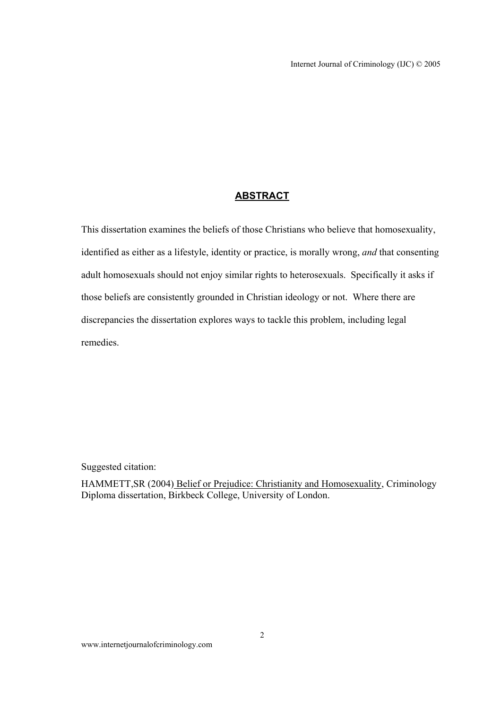## **ABSTRACT**

This dissertation examines the beliefs of those Christians who believe that homosexuality, identified as either as a lifestyle, identity or practice, is morally wrong, *and* that consenting adult homosexuals should not enjoy similar rights to heterosexuals. Specifically it asks if those beliefs are consistently grounded in Christian ideology or not. Where there are discrepancies the dissertation explores ways to tackle this problem, including legal remedies.

Suggested citation:

HAMMETT,SR (2004) Belief or Prejudice: Christianity and Homosexuality, Criminology Diploma dissertation, Birkbeck College, University of London.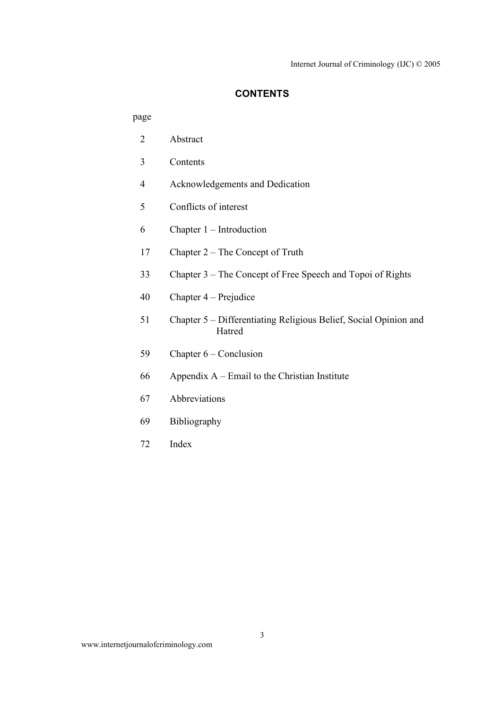## **CONTENTS**

## page

| $\overline{2}$ | Abstract                                                                   |
|----------------|----------------------------------------------------------------------------|
| 3              | Contents                                                                   |
| $\overline{4}$ | Acknowledgements and Dedication                                            |
| 5              | Conflicts of interest                                                      |
| 6              | Chapter $1$ – Introduction                                                 |
| 17             | Chapter 2 – The Concept of Truth                                           |
| 33             | Chapter 3 – The Concept of Free Speech and Topoi of Rights                 |
| 40             | Chapter $4$ – Prejudice                                                    |
| 51             | Chapter 5 – Differentiating Religious Belief, Social Opinion and<br>Hatred |
| 59             | Chapter $6$ – Conclusion                                                   |
| 66             | Appendix $A$ – Email to the Christian Institute                            |
| 67             | Abbreviations                                                              |
| 69             | Bibliography                                                               |
| 72             | Index                                                                      |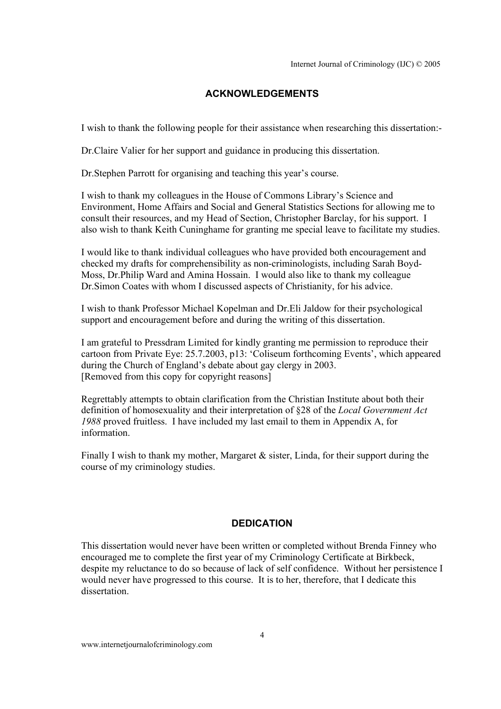## **ACKNOWLEDGEMENTS**

I wish to thank the following people for their assistance when researching this dissertation:-

Dr.Claire Valier for her support and guidance in producing this dissertation.

Dr.Stephen Parrott for organising and teaching this year's course.

I wish to thank my colleagues in the House of Commons Library's Science and Environment, Home Affairs and Social and General Statistics Sections for allowing me to consult their resources, and my Head of Section, Christopher Barclay, for his support. I also wish to thank Keith Cuninghame for granting me special leave to facilitate my studies.

I would like to thank individual colleagues who have provided both encouragement and checked my drafts for comprehensibility as non-criminologists, including Sarah Boyd-Moss, Dr.Philip Ward and Amina Hossain. I would also like to thank my colleague Dr.Simon Coates with whom I discussed aspects of Christianity, for his advice.

I wish to thank Professor Michael Kopelman and Dr.Eli Jaldow for their psychological support and encouragement before and during the writing of this dissertation.

I am grateful to Pressdram Limited for kindly granting me permission to reproduce their cartoon from Private Eye: 25.7.2003, p13: 'Coliseum forthcoming Events', which appeared during the Church of England's debate about gay clergy in 2003. [Removed from this copy for copyright reasons]

Regrettably attempts to obtain clarification from the Christian Institute about both their definition of homosexuality and their interpretation of §28 of the *Local Government Act 1988* proved fruitless. I have included my last email to them in Appendix A, for information.

Finally I wish to thank my mother, Margaret  $\&$  sister, Linda, for their support during the course of my criminology studies.

### **DEDICATION**

This dissertation would never have been written or completed without Brenda Finney who encouraged me to complete the first year of my Criminology Certificate at Birkbeck, despite my reluctance to do so because of lack of self confidence. Without her persistence I would never have progressed to this course. It is to her, therefore, that I dedicate this dissertation.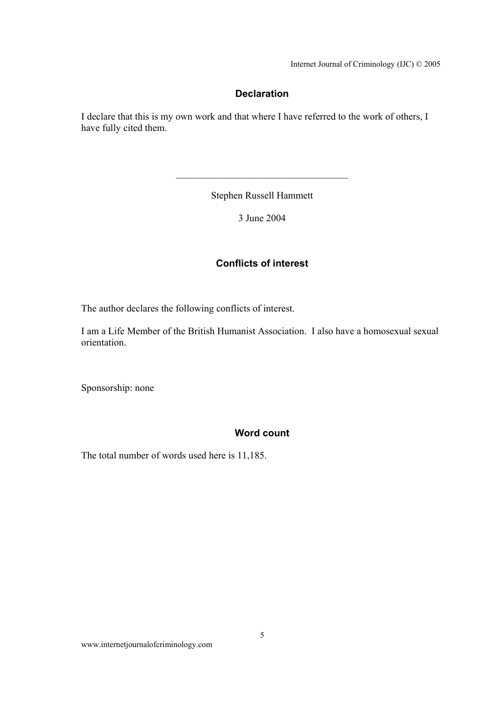Internet Journal of Criminology (IJC) © 2005

## **Declaration**

I declare that this is my own work and that where I have referred to the work of others, I have fully cited them.

Stephen Russell Hammett

 $\mathcal{L}_\text{max}$ 

3 June 2004

## **Conflicts of interest**

The author declares the following conflicts of interest.

I am a Life Member of the British Humanist Association. I also have a homosexual sexual orientation.

Sponsorship: none

### **Word count**

The total number of words used here is 11,185.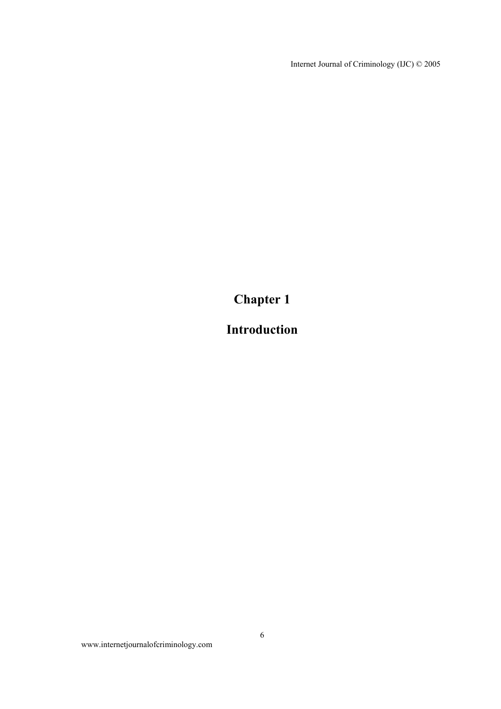Internet Journal of Criminology (IJC) © 2005

**Chapter 1** 

# **Introduction**

www.internetjournalofcriminology.com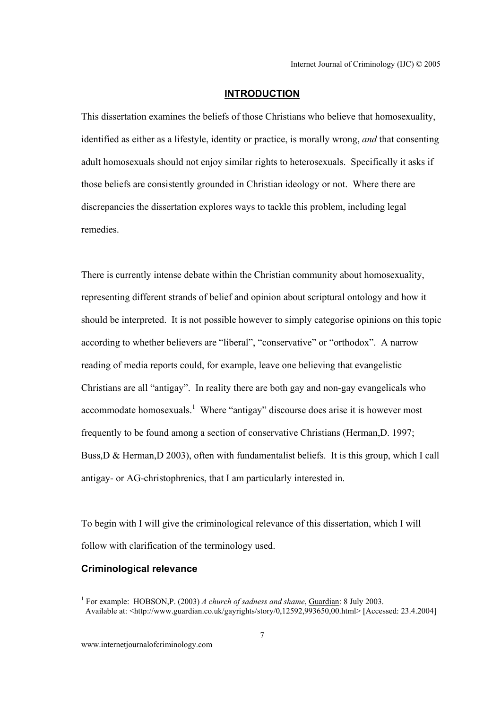#### **INTRODUCTION**

This dissertation examines the beliefs of those Christians who believe that homosexuality, identified as either as a lifestyle, identity or practice, is morally wrong, *and* that consenting adult homosexuals should not enjoy similar rights to heterosexuals. Specifically it asks if those beliefs are consistently grounded in Christian ideology or not. Where there are discrepancies the dissertation explores ways to tackle this problem, including legal remedies.

There is currently intense debate within the Christian community about homosexuality, representing different strands of belief and opinion about scriptural ontology and how it should be interpreted. It is not possible however to simply categorise opinions on this topic according to whether believers are "liberal", "conservative" or "orthodox". A narrow reading of media reports could, for example, leave one believing that evangelistic Christians are all "antigay". In reality there are both gay and non-gay evangelicals who accommodate homosexuals.<sup>1</sup> Where "antigay" discourse does arise it is however most frequently to be found among a section of conservative Christians (Herman,D. 1997; Buss,D & Herman,D 2003), often with fundamentalist beliefs. It is this group, which I call antigay- or AG-christophrenics, that I am particularly interested in.

To begin with I will give the criminological relevance of this dissertation, which I will follow with clarification of the terminology used.

## **Criminological relevance**

 $\overline{a}$ 

<sup>1</sup> For example: HOBSON,P. (2003) *A church of sadness and shame*, Guardian: 8 July 2003. Available at: <http://www.guardian.co.uk/gayrights/story/0,12592,993650,00.html> [Accessed: 23.4.2004]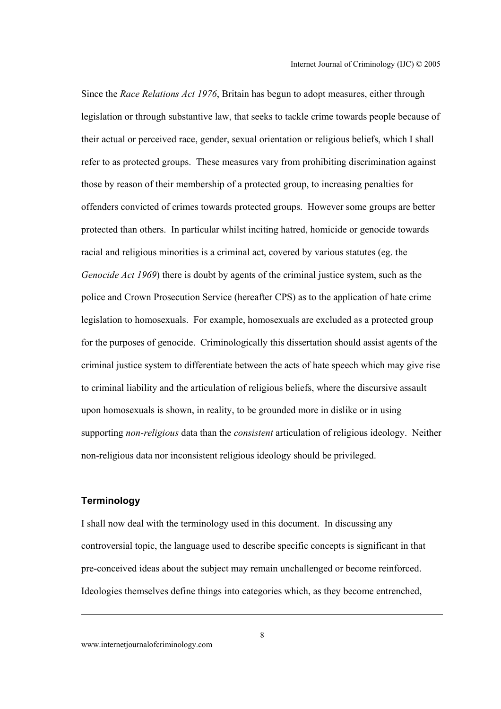Since the *Race Relations Act 1976*, Britain has begun to adopt measures, either through legislation or through substantive law, that seeks to tackle crime towards people because of their actual or perceived race, gender, sexual orientation or religious beliefs, which I shall refer to as protected groups. These measures vary from prohibiting discrimination against those by reason of their membership of a protected group, to increasing penalties for offenders convicted of crimes towards protected groups. However some groups are better protected than others. In particular whilst inciting hatred, homicide or genocide towards racial and religious minorities is a criminal act, covered by various statutes (eg. the *Genocide Act 1969*) there is doubt by agents of the criminal justice system, such as the police and Crown Prosecution Service (hereafter CPS) as to the application of hate crime legislation to homosexuals. For example, homosexuals are excluded as a protected group for the purposes of genocide. Criminologically this dissertation should assist agents of the criminal justice system to differentiate between the acts of hate speech which may give rise to criminal liability and the articulation of religious beliefs, where the discursive assault upon homosexuals is shown, in reality, to be grounded more in dislike or in using supporting *non-religious* data than the *consistent* articulation of religious ideology. Neither non-religious data nor inconsistent religious ideology should be privileged.

### **Terminology**

I shall now deal with the terminology used in this document. In discussing any controversial topic, the language used to describe specific concepts is significant in that pre-conceived ideas about the subject may remain unchallenged or become reinforced. Ideologies themselves define things into categories which, as they become entrenched,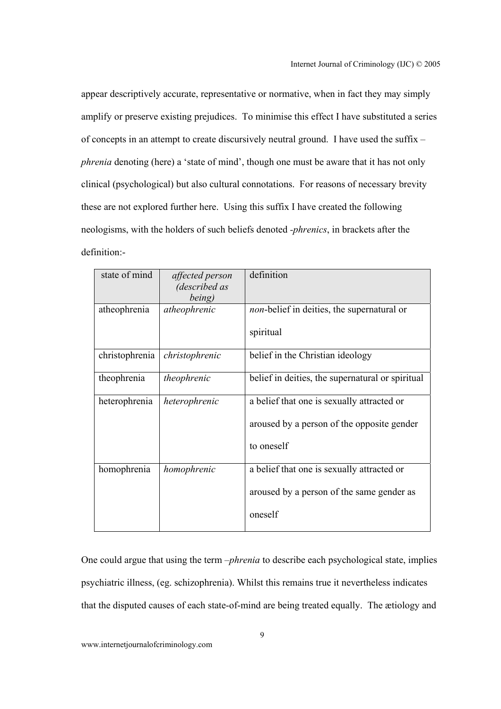appear descriptively accurate, representative or normative, when in fact they may simply amplify or preserve existing prejudices. To minimise this effect I have substituted a series of concepts in an attempt to create discursively neutral ground. I have used the suffix *– phrenia* denoting (here) a 'state of mind', though one must be aware that it has not only clinical (psychological) but also cultural connotations. For reasons of necessary brevity these are not explored further here. Using this suffix I have created the following neologisms, with the holders of such beliefs denoted *-phrenics*, in brackets after the definition:-

| state of mind  | affected person | definition                                         |
|----------------|-----------------|----------------------------------------------------|
|                | (described as   |                                                    |
|                | being)          |                                                    |
| atheophrenia   | atheophrenic    | <i>non</i> -belief in deities, the supernatural or |
|                |                 | spiritual                                          |
| christophrenia | christophrenic  | belief in the Christian ideology                   |
| theophrenia    | theophrenic     | belief in deities, the supernatural or spiritual   |
| heterophrenia  | heterophrenic   | a belief that one is sexually attracted or         |
|                |                 | aroused by a person of the opposite gender         |
|                |                 | to oneself                                         |
| homophrenia    | homophrenic     | a belief that one is sexually attracted or         |
|                |                 | aroused by a person of the same gender as          |
|                |                 | oneself                                            |
|                |                 |                                                    |

One could argue that using the term –*phrenia* to describe each psychological state, implies psychiatric illness, (eg. schizophrenia). Whilst this remains true it nevertheless indicates that the disputed causes of each state-of-mind are being treated equally. The ætiology and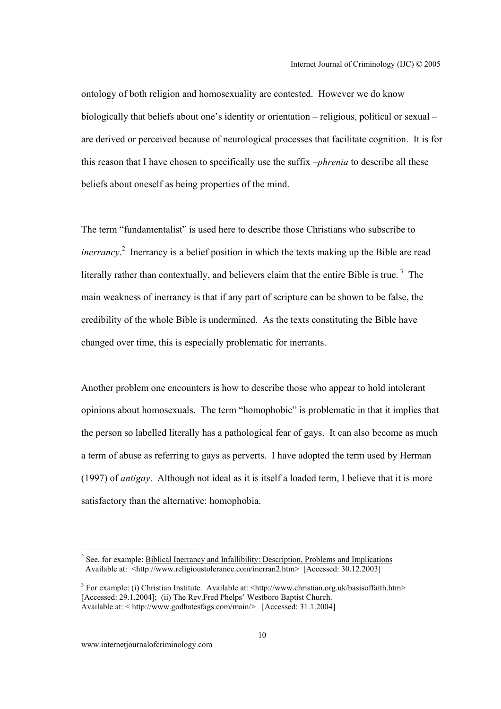ontology of both religion and homosexuality are contested. However we do know biologically that beliefs about one's identity or orientation – religious, political or sexual – are derived or perceived because of neurological processes that facilitate cognition. It is for this reason that I have chosen to specifically use the suffix –*phrenia* to describe all these beliefs about oneself as being properties of the mind.

The term "fundamentalist" is used here to describe those Christians who subscribe to *inerrancy*.<sup>2</sup> Inerrancy is a belief position in which the texts making up the Bible are read literally rather than contextually, and believers claim that the entire Bible is true.<sup>3</sup> The main weakness of inerrancy is that if any part of scripture can be shown to be false, the credibility of the whole Bible is undermined. As the texts constituting the Bible have changed over time, this is especially problematic for inerrants.

Another problem one encounters is how to describe those who appear to hold intolerant opinions about homosexuals. The term "homophobic" is problematic in that it implies that the person so labelled literally has a pathological fear of gays. It can also become as much a term of abuse as referring to gays as perverts. I have adopted the term used by Herman (1997) of *antigay*. Although not ideal as it is itself a loaded term, I believe that it is more satisfactory than the alternative: homophobia.

<sup>&</sup>lt;sup>2</sup> See, for example: Biblical Inerrancy and Infallibility: Description, Problems and Implications Available at: <http://www.religioustolerance.com/inerran2.htm> [Accessed: 30.12.2003]

<sup>&</sup>lt;sup>3</sup> For example: (i) Christian Institute. Available at: <http://www.christian.org.uk/basisoffaith.htm> [Accessed: 29.1.2004]; (ii) The Rev. Fred Phelps' Westboro Baptist Church. Available at: < http://www.godhatesfags.com/main/> [Accessed: 31.1.2004]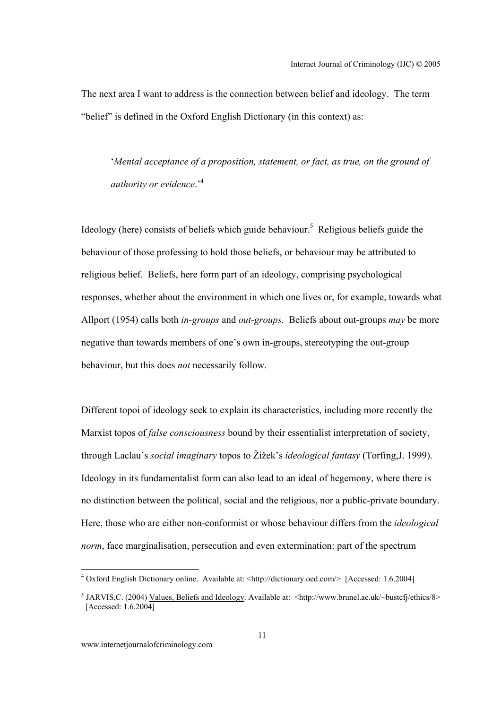The next area I want to address is the connection between belief and ideology. The term "belief" is defined in the Oxford English Dictionary (in this context) as:

'*Mental acceptance of a proposition, statement, or fact, as true, on the ground of authority or evidence*.'<sup>4</sup>

Ideology (here) consists of beliefs which guide behaviour.<sup>5</sup> Religious beliefs guide the behaviour of those professing to hold those beliefs, or behaviour may be attributed to religious belief. Beliefs, here form part of an ideology, comprising psychological responses, whether about the environment in which one lives or, for example, towards what Allport (1954) calls both *in-groups* and *out-groups*. Beliefs about out-groups *may* be more negative than towards members of one's own in-groups, stereotyping the out-group behaviour, but this does *not* necessarily follow.

Different topoi of ideology seek to explain its characteristics, including more recently the Marxist topos of *false consciousness* bound by their essentialist interpretation of society, through Laclau's *social imaginary* topos to Žižek's *ideological fantasy* (Torfing,J. 1999). Ideology in its fundamentalist form can also lead to an ideal of hegemony, where there is no distinction between the political, social and the religious, nor a public-private boundary. Here, those who are either non-conformist or whose behaviour differs from the *ideological norm*, face marginalisation, persecution and even extermination: part of the spectrum

 $\overline{a}$ 

<sup>&</sup>lt;sup>4</sup> Oxford English Dictionary online. Available at: <http://dictionary.oed.com/> [Accessed: 1.6.2004]

<sup>&</sup>lt;sup>5</sup> JARVIS, C. (2004) Values, Beliefs and Ideology. Available at: <http://www.brunel.ac.uk/~bustcfj/ethics/8> [Accessed: 1.6.2004]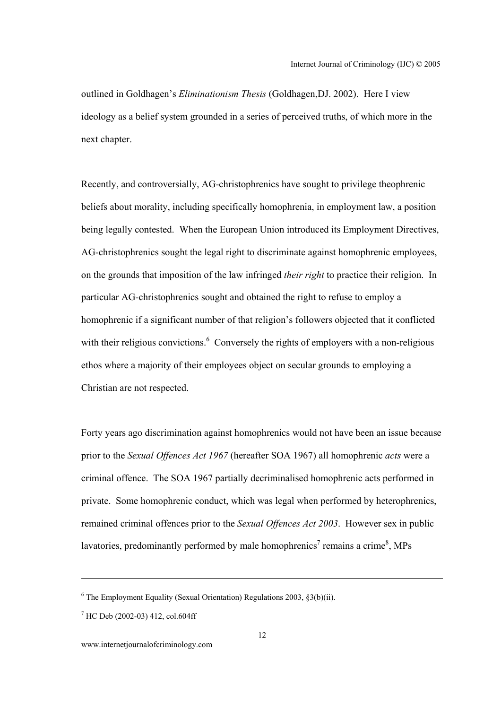outlined in Goldhagen's *Eliminationism Thesis* (Goldhagen,DJ. 2002). Here I view ideology as a belief system grounded in a series of perceived truths, of which more in the next chapter.

Recently, and controversially, AG-christophrenics have sought to privilege theophrenic beliefs about morality, including specifically homophrenia, in employment law, a position being legally contested. When the European Union introduced its Employment Directives, AG-christophrenics sought the legal right to discriminate against homophrenic employees, on the grounds that imposition of the law infringed *their right* to practice their religion. In particular AG-christophrenics sought and obtained the right to refuse to employ a homophrenic if a significant number of that religion's followers objected that it conflicted with their religious convictions. $6$  Conversely the rights of employers with a non-religious ethos where a majority of their employees object on secular grounds to employing a Christian are not respected.

Forty years ago discrimination against homophrenics would not have been an issue because prior to the *Sexual Offences Act 1967* (hereafter SOA 1967) all homophrenic *acts* were a criminal offence. The SOA 1967 partially decriminalised homophrenic acts performed in private. Some homophrenic conduct, which was legal when performed by heterophrenics, remained criminal offences prior to the *Sexual Offences Act 2003*. However sex in public lavatories, predominantly performed by male homophrenics<sup>7</sup> remains a crime<sup>8</sup>, MPs

 $6$  The Employment Equality (Sexual Orientation) Regulations 2003,  $\S3(b)(ii)$ .

<sup>7</sup> HC Deb (2002-03) 412, col.604ff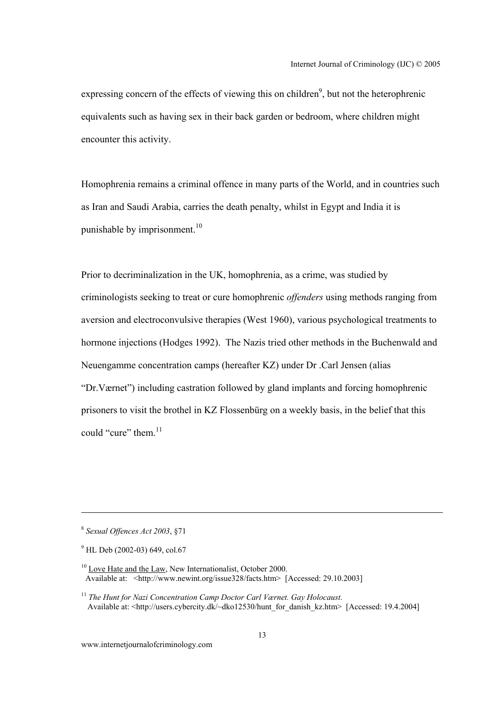expressing concern of the effects of viewing this on children<sup>9</sup>, but not the heterophrenic equivalents such as having sex in their back garden or bedroom, where children might encounter this activity.

Homophrenia remains a criminal offence in many parts of the World, and in countries such as Iran and Saudi Arabia, carries the death penalty, whilst in Egypt and India it is punishable by imprisonment.<sup>10</sup>

Prior to decriminalization in the UK, homophrenia, as a crime, was studied by criminologists seeking to treat or cure homophrenic *offenders* using methods ranging from aversion and electroconvulsive therapies (West 1960), various psychological treatments to hormone injections (Hodges 1992). The Nazis tried other methods in the Buchenwald and Neuengamme concentration camps (hereafter KZ) under Dr .Carl Jensen (alias "Dr.Værnet") including castration followed by gland implants and forcing homophrenic prisoners to visit the brothel in KZ Flossenbürg on a weekly basis, in the belief that this could "cure" them  $11$ 

<sup>8</sup> *Sexual Offences Act 2003*, §71

<sup>&</sup>lt;sup>9</sup> HL Deb (2002-03) 649, col.67

 $10$  Love Hate and the Law, New Internationalist, October 2000. Available at: <http://www.newint.org/issue328/facts.htm> [Accessed: 29.10.2003]

<sup>11</sup> *The Hunt for Nazi Concentration Camp Doctor Carl Værnet. Gay Holocaust*. Available at: <http://users.cybercity.dk/~dko12530/hunt\_for\_danish\_kz.htm> [Accessed: 19.4.2004]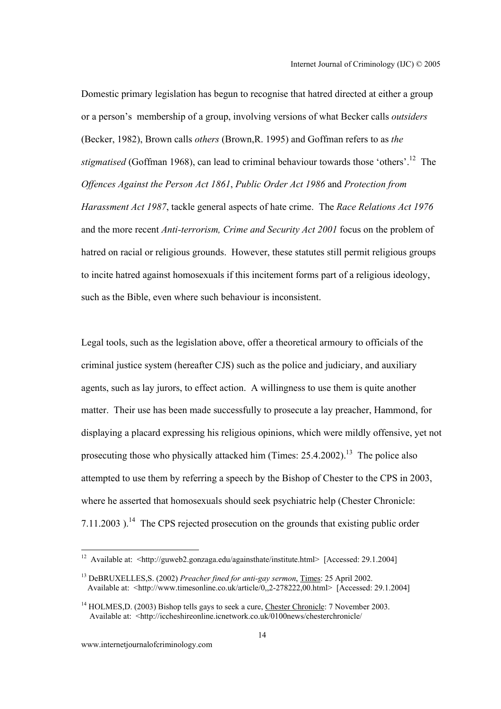Domestic primary legislation has begun to recognise that hatred directed at either a group or a person's membership of a group, involving versions of what Becker calls *outsiders* (Becker, 1982), Brown calls *others* (Brown,R. 1995) and Goffman refers to as *the stigmatised* (Goffman 1968), can lead to criminal behaviour towards those 'others'.<sup>12</sup> The *Offences Against the Person Act 1861*, *Public Order Act 1986* and *Protection from Harassment Act 1987*, tackle general aspects of hate crime. The *Race Relations Act 1976* and the more recent *Anti-terrorism, Crime and Security Act 2001* focus on the problem of hatred on racial or religious grounds. However, these statutes still permit religious groups to incite hatred against homosexuals if this incitement forms part of a religious ideology, such as the Bible, even where such behaviour is inconsistent.

Legal tools, such as the legislation above, offer a theoretical armoury to officials of the criminal justice system (hereafter CJS) such as the police and judiciary, and auxiliary agents, such as lay jurors, to effect action. A willingness to use them is quite another matter. Their use has been made successfully to prosecute a lay preacher, Hammond, for displaying a placard expressing his religious opinions, which were mildly offensive, yet not prosecuting those who physically attacked him (Times:  $25.4.2002$ )<sup>13</sup>. The police also attempted to use them by referring a speech by the Bishop of Chester to the CPS in 2003, where he asserted that homosexuals should seek psychiatric help (Chester Chronicle:  $7.11.2003$ ).<sup>14</sup> The CPS rejected prosecution on the grounds that existing public order

<sup>&</sup>lt;sup>12</sup> Available at: <http://guweb2.gonzaga.edu/againsthate/institute.html> [Accessed: 29.1.2004]

<sup>13</sup> DeBRUXELLES,S. (2002) *Preacher fined for anti-gay sermon*, Times: 25 April 2002. Available at:  $\langle$ http://www.timesonline.co.uk/article/0,,2-278222,00.html> [Accessed: 29.1.2004]

 $14$  HOLMES, D. (2003) Bishop tells gays to seek a cure, Chester Chronicle: 7 November 2003. Available at: <http://iccheshireonline.icnetwork.co.uk/0100news/chesterchronicle/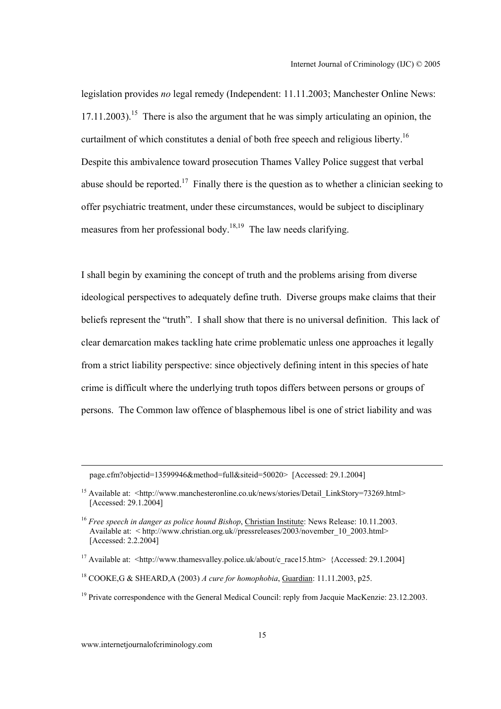legislation provides *no* legal remedy (Independent: 11.11.2003; Manchester Online News:  $17.11.2003$ ).<sup>15</sup> There is also the argument that he was simply articulating an opinion, the curtailment of which constitutes a denial of both free speech and religious liberty.<sup>16</sup> Despite this ambivalence toward prosecution Thames Valley Police suggest that verbal abuse should be reported.<sup>17</sup> Finally there is the question as to whether a clinician seeking to offer psychiatric treatment, under these circumstances, would be subject to disciplinary measures from her professional body.<sup>18,19</sup> The law needs clarifying.

I shall begin by examining the concept of truth and the problems arising from diverse ideological perspectives to adequately define truth. Diverse groups make claims that their beliefs represent the "truth". I shall show that there is no universal definition. This lack of clear demarcation makes tackling hate crime problematic unless one approaches it legally from a strict liability perspective: since objectively defining intent in this species of hate crime is difficult where the underlying truth topos differs between persons or groups of persons. The Common law offence of blasphemous libel is one of strict liability and was

page.cfm?objectid=13599946&method=full&siteid=50020> [Accessed: 29.1.2004]

<sup>17</sup> Available at: <http://www.thamesvalley.police.uk/about/c\_race15.htm> {Accessed: 29.1.2004]

www.internetjournalofcriminology.com

<sup>&</sup>lt;sup>15</sup> Available at: <http://www.manchesteronline.co.uk/news/stories/Detail\_LinkStory=73269.html> [Accessed: 29.1.2004]

<sup>&</sup>lt;sup>16</sup> *Free speech in danger as police hound Bishop*, *Christian Institute:* News Release: 10.11.2003. Available at: < http://www.christian.org.uk//pressreleases/2003/november\_10\_2003.html> [Accessed: 2.2.2004]

<sup>18</sup> COOKE,G & SHEARD,A (2003) *A cure for homophobia*, Guardian: 11.11.2003, p25.

<sup>&</sup>lt;sup>19</sup> Private correspondence with the General Medical Council: reply from Jacquie MacKenzie: 23.12.2003.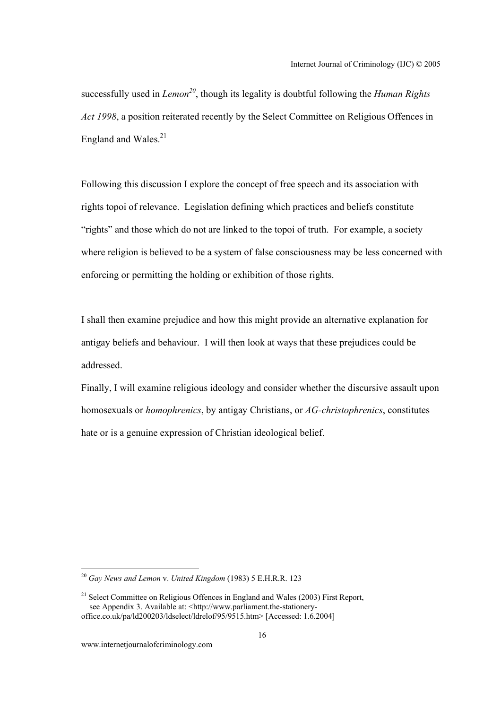successfully used in *Lemon*<sup>20</sup>, though its legality is doubtful following the *Human Rights Act 1998*, a position reiterated recently by the Select Committee on Religious Offences in England and Wales.<sup>21</sup>

Following this discussion I explore the concept of free speech and its association with rights topoi of relevance. Legislation defining which practices and beliefs constitute "rights" and those which do not are linked to the topoi of truth. For example, a society where religion is believed to be a system of false consciousness may be less concerned with enforcing or permitting the holding or exhibition of those rights.

I shall then examine prejudice and how this might provide an alternative explanation for antigay beliefs and behaviour. I will then look at ways that these prejudices could be addressed.

Finally, I will examine religious ideology and consider whether the discursive assault upon homosexuals or *homophrenics*, by antigay Christians, or *AG-christophrenics*, constitutes hate or is a genuine expression of Christian ideological belief.

<sup>20</sup> *Gay News and Lemon* v. *United Kingdom* (1983) 5 E.H.R.R. 123

<sup>&</sup>lt;sup>21</sup> Select Committee on Religious Offences in England and Wales (2003) First Report, see Appendix 3. Available at: <http://www.parliament.the-stationeryoffice.co.uk/pa/ld200203/ldselect/ldrelof/95/9515.htm> [Accessed: 1.6.2004]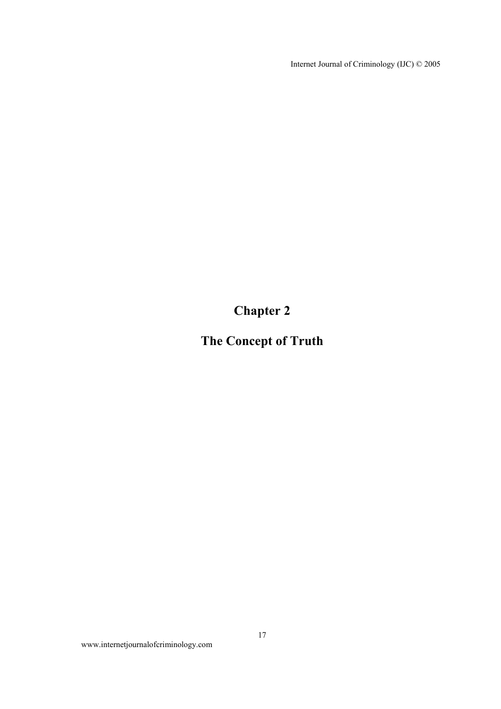Internet Journal of Criminology (IJC) © 2005

**Chapter 2** 

# **The Concept of Truth**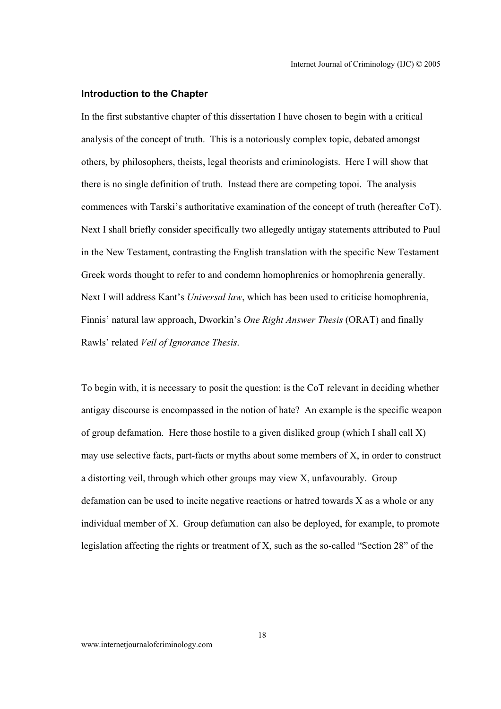#### **Introduction to the Chapter**

In the first substantive chapter of this dissertation I have chosen to begin with a critical analysis of the concept of truth. This is a notoriously complex topic, debated amongst others, by philosophers, theists, legal theorists and criminologists. Here I will show that there is no single definition of truth. Instead there are competing topoi. The analysis commences with Tarski's authoritative examination of the concept of truth (hereafter CoT). Next I shall briefly consider specifically two allegedly antigay statements attributed to Paul in the New Testament, contrasting the English translation with the specific New Testament Greek words thought to refer to and condemn homophrenics or homophrenia generally. Next I will address Kant's *Universal law*, which has been used to criticise homophrenia, Finnis' natural law approach, Dworkin's *One Right Answer Thesis* (ORAT) and finally Rawls' related *Veil of Ignorance Thesis*.

To begin with, it is necessary to posit the question: is the CoT relevant in deciding whether antigay discourse is encompassed in the notion of hate? An example is the specific weapon of group defamation. Here those hostile to a given disliked group (which I shall call X) may use selective facts, part-facts or myths about some members of X, in order to construct a distorting veil, through which other groups may view X, unfavourably. Group defamation can be used to incite negative reactions or hatred towards X as a whole or any individual member of X. Group defamation can also be deployed, for example, to promote legislation affecting the rights or treatment of X, such as the so-called "Section 28" of the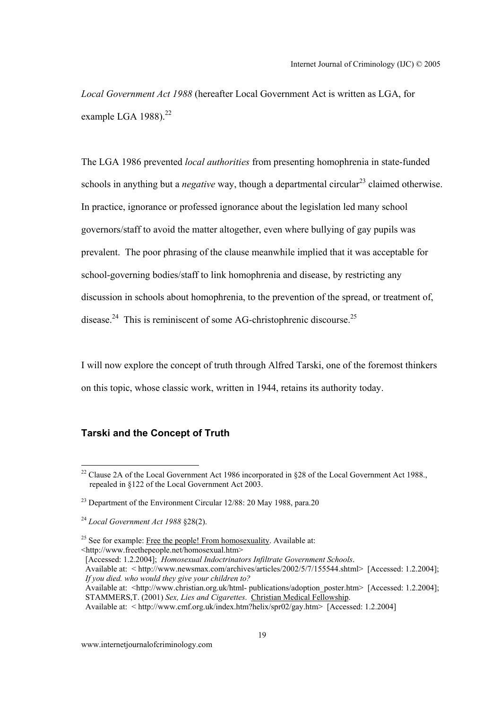*Local Government Act 1988* (hereafter Local Government Act is written as LGA, for example LGA  $1988$ ).<sup>22</sup>

The LGA 1986 prevented *local authorities* from presenting homophrenia in state-funded schools in anything but a *negative* way, though a departmental circular<sup>23</sup> claimed otherwise. In practice, ignorance or professed ignorance about the legislation led many school governors/staff to avoid the matter altogether, even where bullying of gay pupils was prevalent. The poor phrasing of the clause meanwhile implied that it was acceptable for school-governing bodies/staff to link homophrenia and disease, by restricting any discussion in schools about homophrenia, to the prevention of the spread, or treatment of, disease.<sup>24</sup> This is reminiscent of some AG-christophrenic discourse.<sup>25</sup>

I will now explore the concept of truth through Alfred Tarski, one of the foremost thinkers on this topic, whose classic work, written in 1944, retains its authority today.

#### **Tarski and the Concept of Truth**

[Accessed: 1.2.2004]; *Homosexual Indoctrinators Infiltrate Government Schools*.

 Available at: < http://www.newsmax.com/archives/articles/2002/5/7/155544.shtml> [Accessed: 1.2.2004];  *If you died. who would they give your children to?* Available at: <http://www.christian.org.uk/html- publications/adoption\_poster.htm> [Accessed: 1.2.2004];

<sup>&</sup>lt;sup>22</sup> Clause 2A of the Local Government Act 1986 incorporated in §28 of the Local Government Act 1988., repealed in §122 of the Local Government Act 2003.

 $^{23}$  Department of the Environment Circular 12/88: 20 May 1988, para.20

<sup>24</sup> *Local Government Act 1988* §28(2).

 $25$  See for example: Free the people! From homosexuality. Available at: <http://www.freethepeople.net/homosexual.htm>

STAMMERS,T. (2001) *Sex, Lies and Cigarettes*. Christian Medical Fellowship.

Available at: < http://www.cmf.org.uk/index.htm?helix/spr02/gay.htm> [Accessed: 1.2.2004]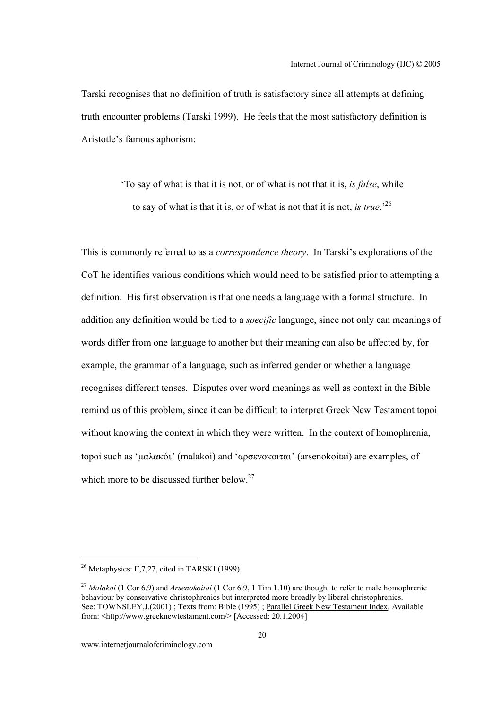Tarski recognises that no definition of truth is satisfactory since all attempts at defining truth encounter problems (Tarski 1999). He feels that the most satisfactory definition is Aristotle's famous aphorism:

> 'To say of what is that it is not, or of what is not that it is, *is false*, while to say of what is that it is, or of what is not that it is not, *is true*.'<sup>26</sup>

This is commonly referred to as a *correspondence theory*. In Tarski's explorations of the CoT he identifies various conditions which would need to be satisfied prior to attempting a definition. His first observation is that one needs a language with a formal structure. In addition any definition would be tied to a *specific* language, since not only can meanings of words differ from one language to another but their meaning can also be affected by, for example, the grammar of a language, such as inferred gender or whether a language recognises different tenses. Disputes over word meanings as well as context in the Bible remind us of this problem, since it can be difficult to interpret Greek New Testament topoi without knowing the context in which they were written. In the context of homophrenia, topoi such as 'µαλακόι' (malakoi) and 'αρσενοκοιται' (arsenokoitai) are examples, of which more to be discussed further below.<sup>27</sup>

 $\overline{a}$ 

<sup>&</sup>lt;sup>26</sup> Metaphysics: Γ, 7, 27, cited in TARSKI (1999).

<sup>&</sup>lt;sup>27</sup> *Malakoi* (1 Cor 6.9) and *Arsenokoitoi* (1 Cor 6.9, 1 Tim 1.10) are thought to refer to male homophrenic behaviour by conservative christophrenics but interpreted more broadly by liberal christophrenics. See: TOWNSLEY,J.(2001) ; Texts from: Bible (1995) ; Parallel Greek New Testament Index, Available from: <http://www.greeknewtestament.com/> [Accessed: 20.1.2004]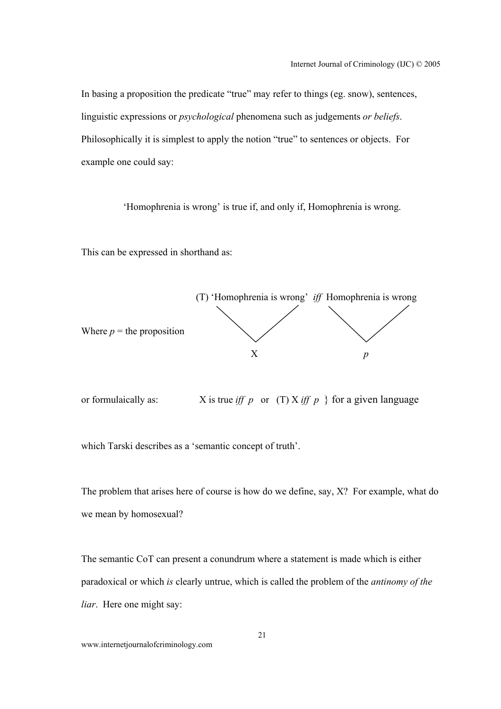In basing a proposition the predicate "true" may refer to things (eg. snow), sentences, linguistic expressions or *psychological* phenomena such as judgements *or beliefs*. Philosophically it is simplest to apply the notion "true" to sentences or objects. For example one could say:

'Homophrenia is wrong' is true if, and only if, Homophrenia is wrong.

This can be expressed in shorthand as:



or formulaically as:  $X$  is true *iff* p or (T)  $X$  *iff*  $p$  } for a given language

which Tarski describes as a 'semantic concept of truth'.

The problem that arises here of course is how do we define, say, X? For example, what do we mean by homosexual?

The semantic CoT can present a conundrum where a statement is made which is either paradoxical or which *is* clearly untrue, which is called the problem of the *antinomy of the liar*. Here one might say:

www.internetjournalofcriminology.com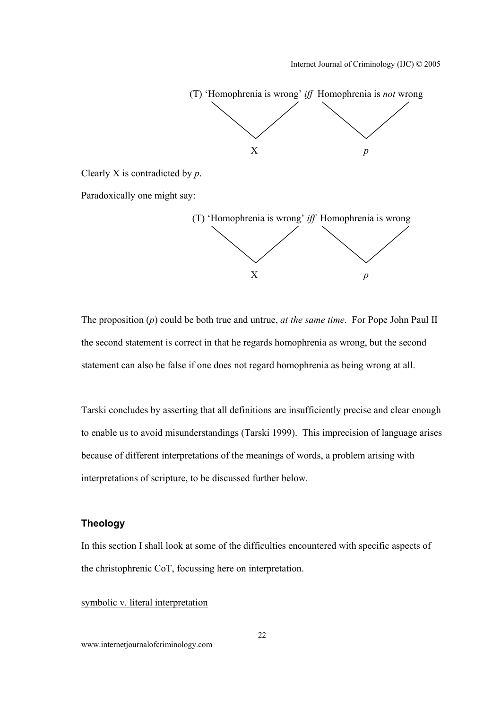

Clearly X is contradicted by *p*.

Paradoxically one might say:



The proposition (*p*) could be both true and untrue, *at the same time*. For Pope John Paul II the second statement is correct in that he regards homophrenia as wrong, but the second statement can also be false if one does not regard homophrenia as being wrong at all.

Tarski concludes by asserting that all definitions are insufficiently precise and clear enough to enable us to avoid misunderstandings (Tarski 1999). This imprecision of language arises because of different interpretations of the meanings of words, a problem arising with interpretations of scripture, to be discussed further below.

## **Theology**

In this section I shall look at some of the difficulties encountered with specific aspects of the christophrenic CoT, focussing here on interpretation.

#### symbolic v. literal interpretation

www.internetjournalofcriminology.com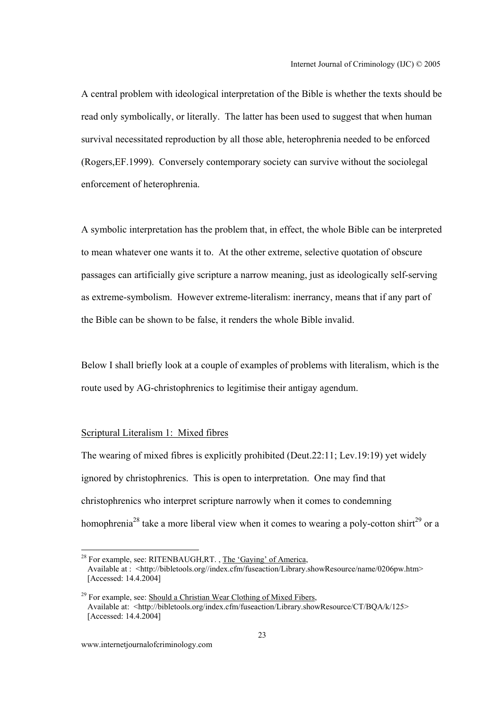A central problem with ideological interpretation of the Bible is whether the texts should be read only symbolically, or literally. The latter has been used to suggest that when human survival necessitated reproduction by all those able, heterophrenia needed to be enforced (Rogers,EF.1999). Conversely contemporary society can survive without the sociolegal enforcement of heterophrenia.

A symbolic interpretation has the problem that, in effect, the whole Bible can be interpreted to mean whatever one wants it to. At the other extreme, selective quotation of obscure passages can artificially give scripture a narrow meaning, just as ideologically self-serving as extreme-symbolism. However extreme-literalism: inerrancy, means that if any part of the Bible can be shown to be false, it renders the whole Bible invalid.

Below I shall briefly look at a couple of examples of problems with literalism, which is the route used by AG-christophrenics to legitimise their antigay agendum.

#### Scriptural Literalism 1: Mixed fibres

The wearing of mixed fibres is explicitly prohibited (Deut.22:11; Lev.19:19) yet widely ignored by christophrenics. This is open to interpretation. One may find that christophrenics who interpret scripture narrowly when it comes to condemning homophrenia<sup>28</sup> take a more liberal view when it comes to wearing a poly-cotton shirt<sup>29</sup> or a

 $^{28}$  For example, see: RITENBAUGH, RT., The 'Gaying' of America, Available at : <http://bibletools.org//index.cfm/fuseaction/Library.showResource/name/0206pw.htm> [Accessed: 14.4.2004]

<sup>&</sup>lt;sup>29</sup> For example, see: Should a Christian Wear Clothing of Mixed Fibers, Available at: <http://bibletools.org/index.cfm/fuseaction/Library.showResource/CT/BQA/k/125> [Accessed: 14.4.2004]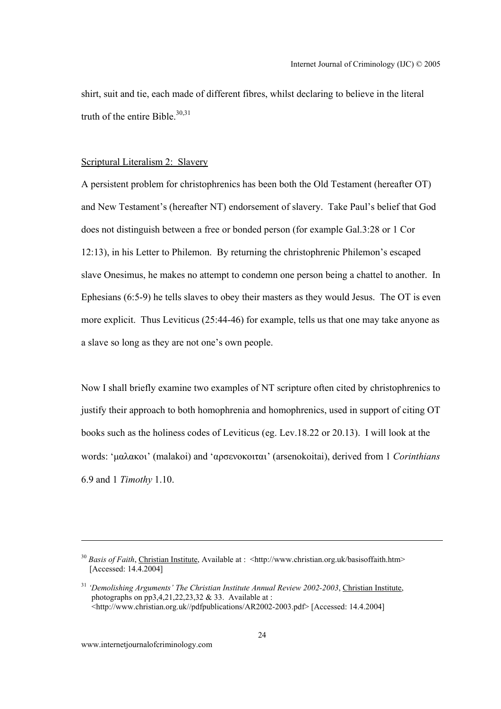shirt, suit and tie, each made of different fibres, whilst declaring to believe in the literal truth of the entire Bible. $30,31$ 

#### Scriptural Literalism 2: Slavery

A persistent problem for christophrenics has been both the Old Testament (hereafter OT) and New Testament's (hereafter NT) endorsement of slavery. Take Paul's belief that God does not distinguish between a free or bonded person (for example Gal.3:28 or 1 Cor 12:13), in his Letter to Philemon. By returning the christophrenic Philemon's escaped slave Onesimus, he makes no attempt to condemn one person being a chattel to another. In Ephesians (6:5-9) he tells slaves to obey their masters as they would Jesus. The OT is even more explicit. Thus Leviticus (25:44-46) for example, tells us that one may take anyone as a slave so long as they are not one's own people.

Now I shall briefly examine two examples of NT scripture often cited by christophrenics to justify their approach to both homophrenia and homophrenics, used in support of citing OT books such as the holiness codes of Leviticus (eg. Lev.18.22 or 20.13). I will look at the words: 'µαλακοι' (malakoi) and 'αρσενοκοιται' (arsenokoitai), derived from 1 *Corinthians* 6.9 and 1 *Timothy* 1.10.

<sup>&</sup>lt;sup>30</sup> *Basis of Faith*, Christian Institute, Available at : <http://www.christian.org.uk/basisoffaith.htm> [Accessed: 14.4.2004]

<sup>31</sup> *'Demolishing Arguments' The Christian Institute Annual Review 2002-2003*, Christian Institute, photographs on  $\overline{p}p3,4,21,22,23,32 \& 33$ . Available at : <http://www.christian.org.uk//pdfpublications/AR2002-2003.pdf> [Accessed: 14.4.2004]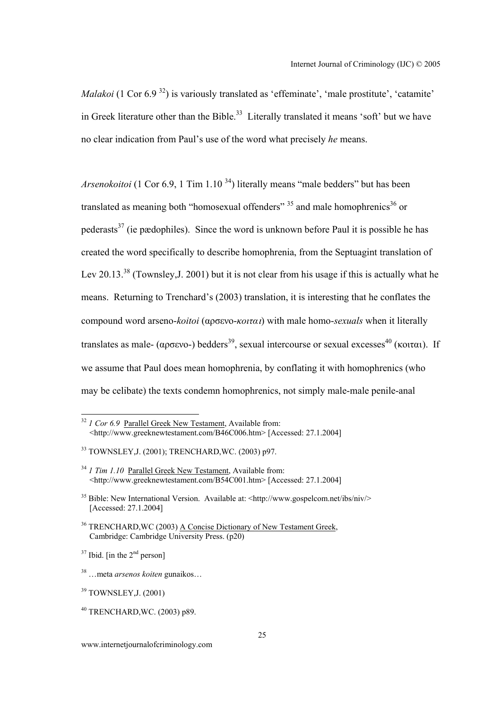*Malakoi* (1 Cor 6.9<sup>32</sup>) is variously translated as 'effeminate', 'male prostitute', 'catamite' in Greek literature other than the Bible.<sup>33</sup> Literally translated it means 'soft' but we have no clear indication from Paul's use of the word what precisely *he* means.

*Arsenokoitoi* (1 Cor 6.9, 1 Tim 1.10<sup>34</sup>) literally means "male bedders" but has been translated as meaning both "homosexual offenders"  $35$  and male homophrenics<sup>36</sup> or pederasts<sup>37</sup> (ie pædophiles). Since the word is unknown before Paul it is possible he has created the word specifically to describe homophrenia, from the Septuagint translation of Lev 20.13<sup>38</sup> (Townsley, J. 2001) but it is not clear from his usage if this is actually what he means. Returning to Trenchard's (2003) translation, it is interesting that he conflates the compound word arseno-*koitoi* (αρσενο-*κοιτα*ι) with male homo-*sexuals* when it literally translates as male- (αρσενο-) bedders<sup>39</sup>, sexual intercourse or sexual excesses<sup>40</sup> (κοιται). If we assume that Paul does mean homophrenia, by conflating it with homophrenics (who may be celibate) the texts condemn homophrenics, not simply male-male penile-anal

<sup>&</sup>lt;sup>32</sup> *1 Cor 6.9* Parallel Greek New Testament, Available from: <http://www.greeknewtestament.com/B46C006.htm> [Accessed: 27.1.2004]

<sup>33</sup> TOWNSLEY,J. (2001); TRENCHARD,WC. (2003) p97.

<sup>&</sup>lt;sup>34</sup> *1 Tim 1.10* <u>Parallel Greek New Testament</u>, Available from: <http://www.greeknewtestament.com/B54C001.htm> [Accessed: 27.1.2004]

<sup>35</sup> Bible: New International Version. Available at: <http://www.gospelcom.net/ibs/niv/> [Accessed: 27.1.2004]

<sup>&</sup>lt;sup>36</sup> TRENCHARD, WC (2003) A Concise Dictionary of New Testament Greek, Cambridge: Cambridge University Press. (p20)

 $37$  Ibid. [in the  $2<sup>nd</sup>$  person]

<sup>38 …</sup>meta *arsenos koiten* gunaikos…

<sup>39</sup> TOWNSLEY,J. (2001)

<sup>40</sup> TRENCHARD,WC. (2003) p89.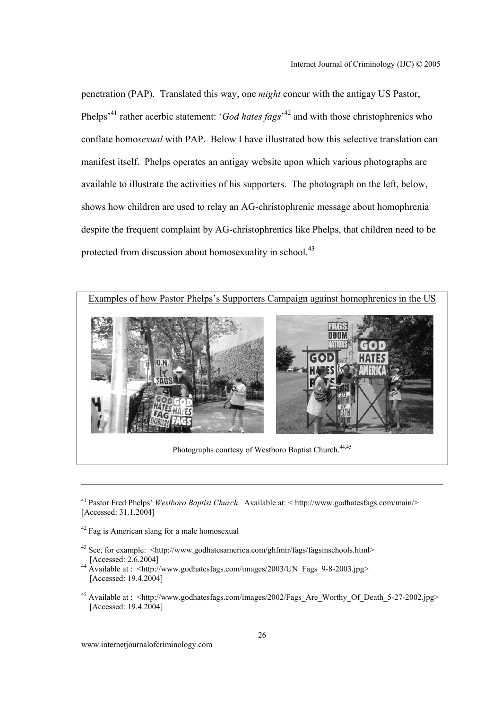penetration (PAP). Translated this way, one *might* concur with the antigay US Pastor, Phelps<sup>-41</sup> rather acerbic statement: '*God hates fags*<sup>-42</sup> and with those christophrenics who conflate homo*sexual* with PAP. Below I have illustrated how this selective translation can manifest itself. Phelps operates an antigay website upon which various photographs are available to illustrate the activities of his supporters. The photograph on the left, below, shows how children are used to relay an AG-christophrenic message about homophrenia despite the frequent complaint by AG-christophrenics like Phelps, that children need to be protected from discussion about homosexuality in school.<sup>43</sup>



Photographs courtesy of Westboro Baptist Church.<sup>44,45</sup>

42 Fag is American slang for a male homosexual

- 43 See, for example: <http://www.godhatesamerica.com/ghfmir/fags/fagsinschools.html> [Accessed: 2.6.2004]
- $^{44}$  Available at : <http://www.godhatesfags.com/images/2003/UN\_Fags\_9-8-2003.jpg> [Accessed: 19.4.2004]
- <sup>45</sup> Available at : <http://www.godhatesfags.com/images/2002/Fags\_Are\_Worthy\_Of\_Death\_5-27-2002.jpg> [Accessed: 19.4.2004]

www.internetjournalofcriminology.com

<sup>41</sup> Pastor Fred Phelps' *Westboro Baptist Church*. Available at: < http://www.godhatesfags.com/main/> [Accessed: 31.1.2004]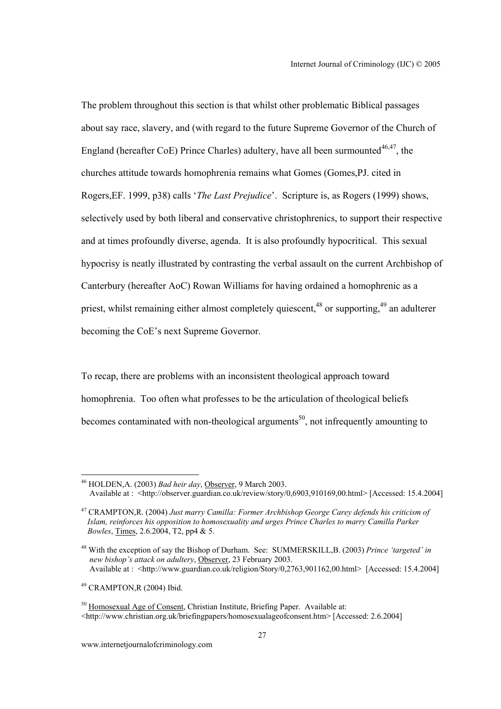The problem throughout this section is that whilst other problematic Biblical passages about say race, slavery, and (with regard to the future Supreme Governor of the Church of England (hereafter CoE) Prince Charles) adultery, have all been surmounted<sup>46,47</sup>, the churches attitude towards homophrenia remains what Gomes (Gomes,PJ. cited in Rogers,EF. 1999, p38) calls '*The Last Prejudice*'. Scripture is, as Rogers (1999) shows, selectively used by both liberal and conservative christophrenics, to support their respective and at times profoundly diverse, agenda. It is also profoundly hypocritical. This sexual hypocrisy is neatly illustrated by contrasting the verbal assault on the current Archbishop of Canterbury (hereafter AoC) Rowan Williams for having ordained a homophrenic as a priest, whilst remaining either almost completely quiescent, $48$  or supporting, $49$  an adulterer becoming the CoE's next Supreme Governor.

To recap, there are problems with an inconsistent theological approach toward homophrenia. Too often what professes to be the articulation of theological beliefs becomes contaminated with non-theological arguments<sup>50</sup>, not infrequently amounting to

49 CRAMPTON,R (2004) Ibid.

 46 HOLDEN,A. (2003) *Bad heir day*, Observer, 9 March 2003. Available at : <http://observer.guardian.co.uk/review/story/0,6903,910169,00.html> [Accessed: 15.4.2004]

<sup>47</sup> CRAMPTON,R. (2004) *Just marry Camilla: Former Archbishop George Carey defends his criticism of Islam, reinforces his opposition to homosexuality and urges Prince Charles to marry Camilla Parker Bowles*, Times, 2.6.2004, T2, pp4 & 5.

<sup>48</sup> With the exception of say the Bishop of Durham. See: SUMMERSKILL,B. (2003) *Prince 'targeted' in new bishop's attack on adultery*, Observer, 23 February 2003. Available at : <http://www.guardian.co.uk/religion/Story/0,2763,901162,00.html> [Accessed: 15.4.2004]

<sup>&</sup>lt;sup>50</sup> Homosexual Age of Consent, Christian Institute, Briefing Paper. Available at: <http://www.christian.org.uk/briefingpapers/homosexualageofconsent.htm> [Accessed: 2.6.2004]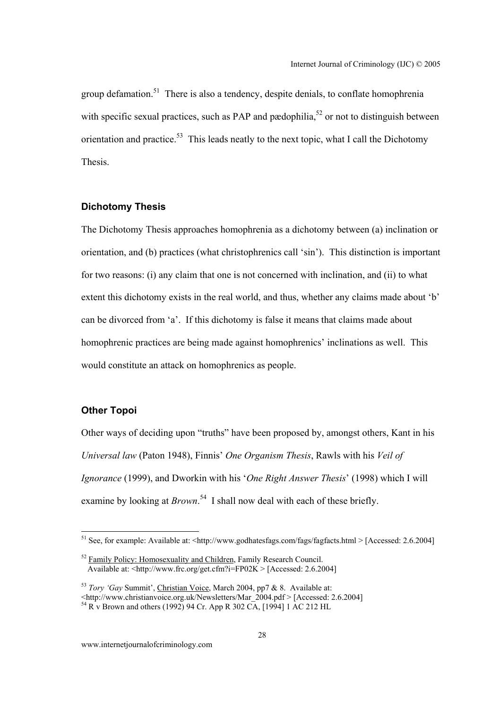group defamation.<sup>51</sup> There is also a tendency, despite denials, to conflate homophrenia with specific sexual practices, such as PAP and pædophilia,  $52$  or not to distinguish between orientation and practice.<sup>53</sup> This leads neatly to the next topic, what I call the Dichotomy Thesis.

## **Dichotomy Thesis**

The Dichotomy Thesis approaches homophrenia as a dichotomy between (a) inclination or orientation, and (b) practices (what christophrenics call 'sin'). This distinction is important for two reasons: (i) any claim that one is not concerned with inclination, and (ii) to what extent this dichotomy exists in the real world, and thus, whether any claims made about 'b' can be divorced from 'a'. If this dichotomy is false it means that claims made about homophrenic practices are being made against homophrenics' inclinations as well. This would constitute an attack on homophrenics as people.

## **Other Topoi**

Other ways of deciding upon "truths" have been proposed by, amongst others, Kant in his *Universal law* (Paton 1948), Finnis' *One Organism Thesis*, Rawls with his *Veil of Ignorance* (1999), and Dworkin with his '*One Right Answer Thesis*' (1998) which I will examine by looking at *Brown*.<sup>54</sup> I shall now deal with each of these briefly.

<sup>&</sup>lt;sup>51</sup> See, for example: Available at: <http://www.godhatesfags.com/fags/fagfacts.html > [Accessed: 2.6.2004]

<sup>&</sup>lt;sup>52</sup> Family Policy: Homosexuality and Children, Family Research Council. Available at:  $\leq$ http://www.frc.org/get.cfm?i=FP02K > [Accessed: 2.6.2004]

<sup>53</sup> *Tory 'Gay* Summit', Christian Voice, March 2004, pp7 & 8. Available at: <http://www.christianvoice.org.uk/Newsletters/Mar\_2004.pdf > [Accessed: 2.6.2004]

 $^{54}$  R v Brown and others (1992) 94 Cr. App R 302 CA, [1994] 1 AC 212 HL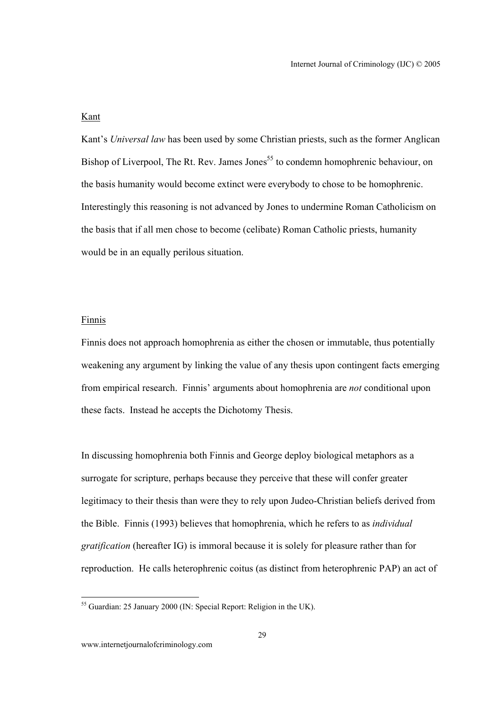## Kant

Kant's *Universal law* has been used by some Christian priests, such as the former Anglican Bishop of Liverpool, The Rt. Rev. James Jones<sup>55</sup> to condemn homophrenic behaviour, on the basis humanity would become extinct were everybody to chose to be homophrenic. Interestingly this reasoning is not advanced by Jones to undermine Roman Catholicism on the basis that if all men chose to become (celibate) Roman Catholic priests, humanity would be in an equally perilous situation.

#### Finnis

Finnis does not approach homophrenia as either the chosen or immutable, thus potentially weakening any argument by linking the value of any thesis upon contingent facts emerging from empirical research. Finnis' arguments about homophrenia are *not* conditional upon these facts. Instead he accepts the Dichotomy Thesis.

In discussing homophrenia both Finnis and George deploy biological metaphors as a surrogate for scripture, perhaps because they perceive that these will confer greater legitimacy to their thesis than were they to rely upon Judeo-Christian beliefs derived from the Bible. Finnis (1993) believes that homophrenia, which he refers to as *individual gratification* (hereafter IG) is immoral because it is solely for pleasure rather than for reproduction. He calls heterophrenic coitus (as distinct from heterophrenic PAP) an act of

<sup>&</sup>lt;sup>55</sup> Guardian: 25 January 2000 (IN: Special Report: Religion in the UK).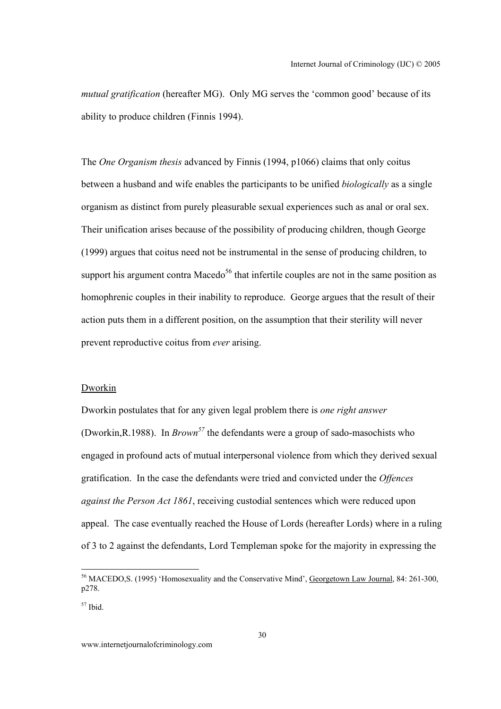*mutual gratification* (hereafter MG). Only MG serves the 'common good' because of its ability to produce children (Finnis 1994).

The *One Organism thesis* advanced by Finnis (1994, p1066) claims that only coitus between a husband and wife enables the participants to be unified *biologically* as a single organism as distinct from purely pleasurable sexual experiences such as anal or oral sex. Their unification arises because of the possibility of producing children, though George (1999) argues that coitus need not be instrumental in the sense of producing children, to support his argument contra Macedo<sup>56</sup> that infertile couples are not in the same position as homophrenic couples in their inability to reproduce. George argues that the result of their action puts them in a different position, on the assumption that their sterility will never prevent reproductive coitus from *ever* arising.

#### Dworkin

Dworkin postulates that for any given legal problem there is *one right answer* (Dworkin,R.1988). In *Brown<sup>57</sup>* the defendants were a group of sado-masochists who engaged in profound acts of mutual interpersonal violence from which they derived sexual gratification. In the case the defendants were tried and convicted under the *Offences against the Person Act 1861*, receiving custodial sentences which were reduced upon appeal. The case eventually reached the House of Lords (hereafter Lords) where in a ruling of 3 to 2 against the defendants, Lord Templeman spoke for the majority in expressing the

<sup>&</sup>lt;sup>56</sup> MACEDO, S. (1995) 'Homosexuality and the Conservative Mind', Georgetown Law Journal, 84: 261-300, p278.

 $57$  Ibid.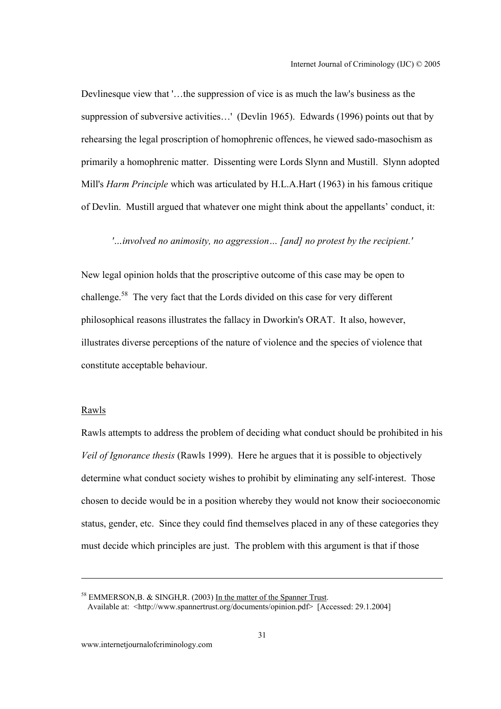Devlinesque view that '…the suppression of vice is as much the law's business as the suppression of subversive activities…' (Devlin 1965). Edwards (1996) points out that by rehearsing the legal proscription of homophrenic offences, he viewed sado-masochism as primarily a homophrenic matter. Dissenting were Lords Slynn and Mustill. Slynn adopted Mill's *Harm Principle* which was articulated by H.L.A.Hart (1963) in his famous critique of Devlin. Mustill argued that whatever one might think about the appellants' conduct, it:

## *'…involved no animosity, no aggression… [and] no protest by the recipient.'*

New legal opinion holds that the proscriptive outcome of this case may be open to challenge.58 The very fact that the Lords divided on this case for very different philosophical reasons illustrates the fallacy in Dworkin's ORAT. It also, however, illustrates diverse perceptions of the nature of violence and the species of violence that constitute acceptable behaviour.

#### Rawls

Rawls attempts to address the problem of deciding what conduct should be prohibited in his *Veil of Ignorance thesis* (Rawls 1999). Here he argues that it is possible to objectively determine what conduct society wishes to prohibit by eliminating any self-interest. Those chosen to decide would be in a position whereby they would not know their socioeconomic status, gender, etc. Since they could find themselves placed in any of these categories they must decide which principles are just. The problem with this argument is that if those

<sup>&</sup>lt;sup>58</sup> EMMERSON,B. & SINGH,R. (2003) In the matter of the Spanner Trust. Available at: <http://www.spannertrust.org/documents/opinion.pdf> [Accessed: 29.1.2004]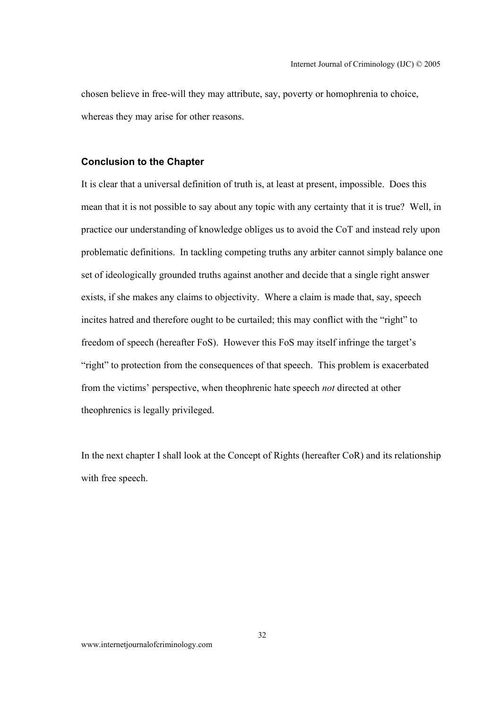chosen believe in free-will they may attribute, say, poverty or homophrenia to choice, whereas they may arise for other reasons.

#### **Conclusion to the Chapter**

It is clear that a universal definition of truth is, at least at present, impossible. Does this mean that it is not possible to say about any topic with any certainty that it is true? Well, in practice our understanding of knowledge obliges us to avoid the CoT and instead rely upon problematic definitions. In tackling competing truths any arbiter cannot simply balance one set of ideologically grounded truths against another and decide that a single right answer exists, if she makes any claims to objectivity. Where a claim is made that, say, speech incites hatred and therefore ought to be curtailed; this may conflict with the "right" to freedom of speech (hereafter FoS). However this FoS may itself infringe the target's "right" to protection from the consequences of that speech. This problem is exacerbated from the victims' perspective, when theophrenic hate speech *not* directed at other theophrenics is legally privileged.

In the next chapter I shall look at the Concept of Rights (hereafter CoR) and its relationship with free speech.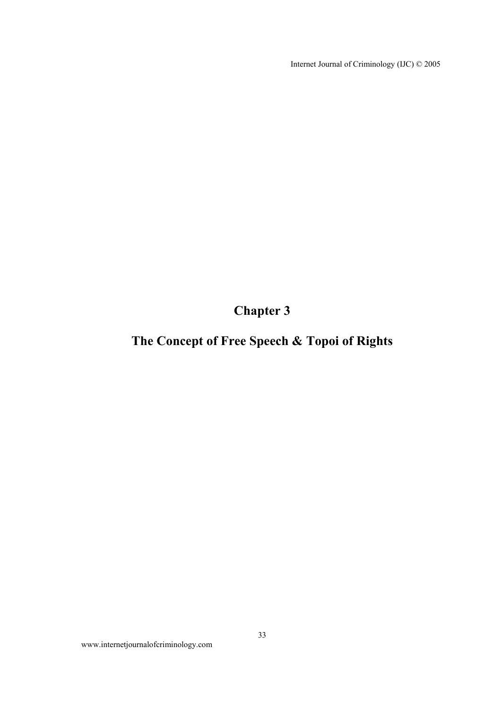Internet Journal of Criminology (IJC) © 2005

**Chapter 3** 

# **The Concept of Free Speech & Topoi of Rights**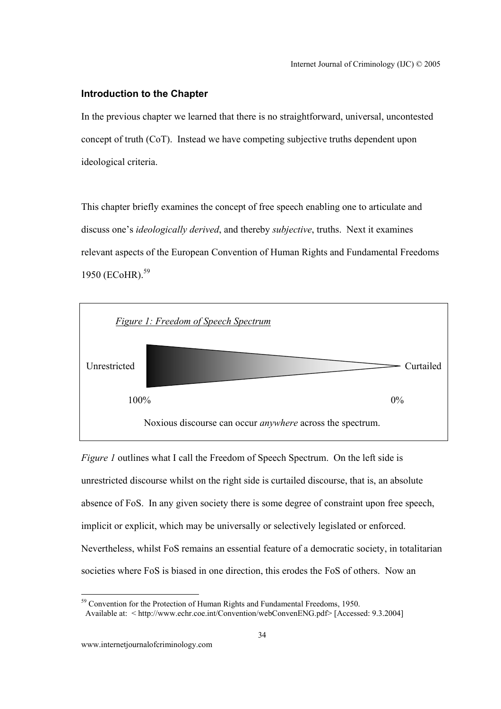#### **Introduction to the Chapter**

In the previous chapter we learned that there is no straightforward, universal, uncontested concept of truth (CoT). Instead we have competing subjective truths dependent upon ideological criteria.

This chapter briefly examines the concept of free speech enabling one to articulate and discuss one's *ideologically derived*, and thereby *subjective*, truths. Next it examines relevant aspects of the European Convention of Human Rights and Fundamental Freedoms 1950 (ECoHR).<sup>59</sup>



*Figure 1* outlines what I call the Freedom of Speech Spectrum. On the left side is unrestricted discourse whilst on the right side is curtailed discourse, that is, an absolute absence of FoS. In any given society there is some degree of constraint upon free speech, implicit or explicit, which may be universally or selectively legislated or enforced. Nevertheless, whilst FoS remains an essential feature of a democratic society, in totalitarian societies where FoS is biased in one direction, this erodes the FoS of others. Now an

 $59$  Convention for the Protection of Human Rights and Fundamental Freedoms, 1950. Available at: < http://www.echr.coe.int/Convention/webConvenENG.pdf> [Accessed: 9.3.2004]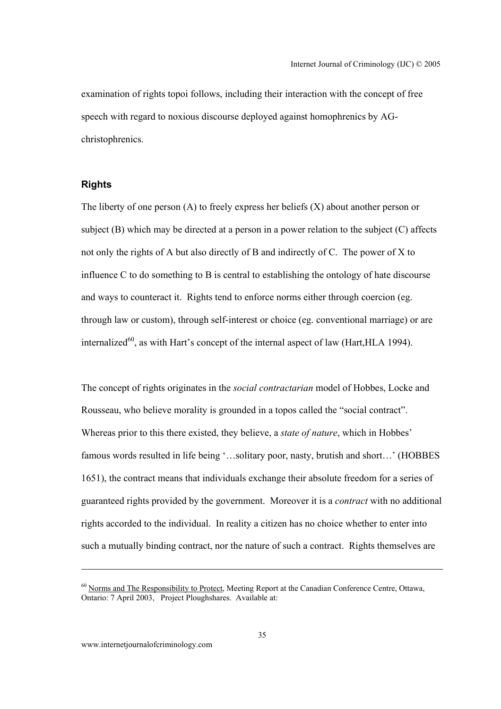examination of rights topoi follows, including their interaction with the concept of free speech with regard to noxious discourse deployed against homophrenics by AGchristophrenics.

#### **Rights**

The liberty of one person (A) to freely express her beliefs (X) about another person or subject (B) which may be directed at a person in a power relation to the subject (C) affects not only the rights of A but also directly of B and indirectly of C. The power of X to influence C to do something to B is central to establishing the ontology of hate discourse and ways to counteract it. Rights tend to enforce norms either through coercion (eg. through law or custom), through self-interest or choice (eg. conventional marriage) or are internalized<sup>60</sup>, as with Hart's concept of the internal aspect of law (Hart, HLA 1994).

The concept of rights originates in the *social contractarian* model of Hobbes, Locke and Rousseau, who believe morality is grounded in a topos called the "social contract". Whereas prior to this there existed, they believe, a *state of nature*, which in Hobbes' famous words resulted in life being '...solitary poor, nasty, brutish and short...' (HOBBES 1651), the contract means that individuals exchange their absolute freedom for a series of guaranteed rights provided by the government. Moreover it is a *contract* with no additional rights accorded to the individual. In reality a citizen has no choice whether to enter into such a mutually binding contract, nor the nature of such a contract. Rights themselves are

<sup>&</sup>lt;sup>60</sup> Norms and The Responsibility to Protect, Meeting Report at the Canadian Conference Centre, Ottawa, Ontario: 7 April 2003, Project Ploughshares. Available at: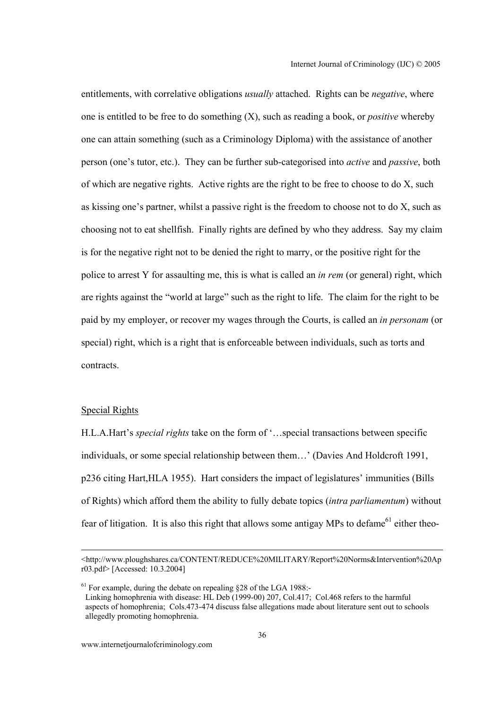entitlements, with correlative obligations *usually* attached. Rights can be *negative*, where one is entitled to be free to do something (X), such as reading a book, or *positive* whereby one can attain something (such as a Criminology Diploma) with the assistance of another person (one's tutor, etc.). They can be further sub-categorised into *active* and *passive*, both of which are negative rights. Active rights are the right to be free to choose to do X, such as kissing one's partner, whilst a passive right is the freedom to choose not to do X, such as choosing not to eat shellfish. Finally rights are defined by who they address. Say my claim is for the negative right not to be denied the right to marry, or the positive right for the police to arrest Y for assaulting me, this is what is called an *in rem* (or general) right, which are rights against the "world at large" such as the right to life. The claim for the right to be paid by my employer, or recover my wages through the Courts, is called an *in personam* (or special) right, which is a right that is enforceable between individuals, such as torts and contracts.

#### Special Rights

H.L.A.Hart's *special rights* take on the form of '…special transactions between specific individuals, or some special relationship between them…' (Davies And Holdcroft 1991, p236 citing Hart,HLA 1955). Hart considers the impact of legislatures' immunities (Bills of Rights) which afford them the ability to fully debate topics (*intra parliamentum*) without fear of litigation. It is also this right that allows some antigay MPs to defame<sup>61</sup> either theo-

 <sup>&</sup>lt;http://www.ploughshares.ca/CONTENT/REDUCE%20MILITARY/Report%20Norms&Intervention%20Ap r03.pdf> [Accessed: 10.3.2004]

 $61$  For example, during the debate on repealing  $\S 28$  of the LGA 1988:- Linking homophrenia with disease: HL Deb (1999-00) 207, Col.417; Col.468 refers to the harmful aspects of homophrenia; Cols.473-474 discuss false allegations made about literature sent out to schools allegedly promoting homophrenia.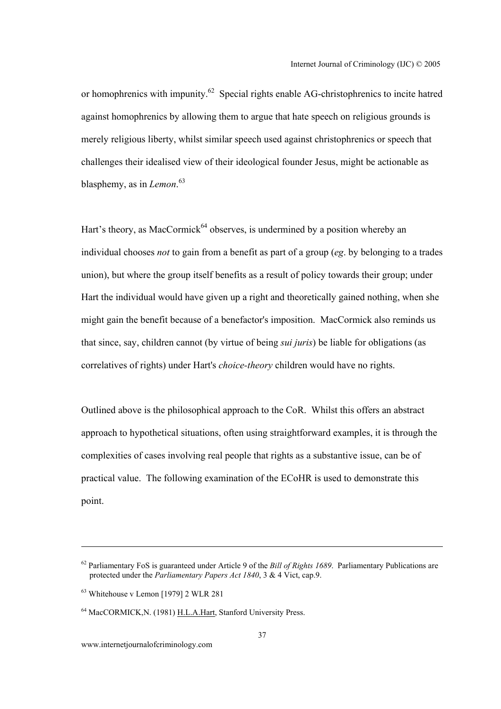or homophrenics with impunity.<sup>62</sup> Special rights enable AG-christophrenics to incite hatred against homophrenics by allowing them to argue that hate speech on religious grounds is merely religious liberty, whilst similar speech used against christophrenics or speech that challenges their idealised view of their ideological founder Jesus, might be actionable as blasphemy, as in *Lemon*. 63

Hart's theory, as MacCormick<sup> $64$ </sup> observes, is undermined by a position whereby an individual chooses *not* to gain from a benefit as part of a group (*eg*. by belonging to a trades union), but where the group itself benefits as a result of policy towards their group; under Hart the individual would have given up a right and theoretically gained nothing, when she might gain the benefit because of a benefactor's imposition. MacCormick also reminds us that since, say, children cannot (by virtue of being *sui juris*) be liable for obligations (as correlatives of rights) under Hart's *choice-theory* children would have no rights.

Outlined above is the philosophical approach to the CoR. Whilst this offers an abstract approach to hypothetical situations, often using straightforward examples, it is through the complexities of cases involving real people that rights as a substantive issue, can be of practical value. The following examination of the ECoHR is used to demonstrate this point.

<sup>62</sup> Parliamentary FoS is guaranteed under Article 9 of the *Bill of Rights 1689*. Parliamentary Publications are protected under the *Parliamentary Papers Act 1840*, 3 & 4 Vict, cap.9.

<sup>63</sup> Whitehouse v Lemon [1979] 2 WLR 281

<sup>64</sup> MacCORMICK,N. (1981) H.L.A.Hart, Stanford University Press.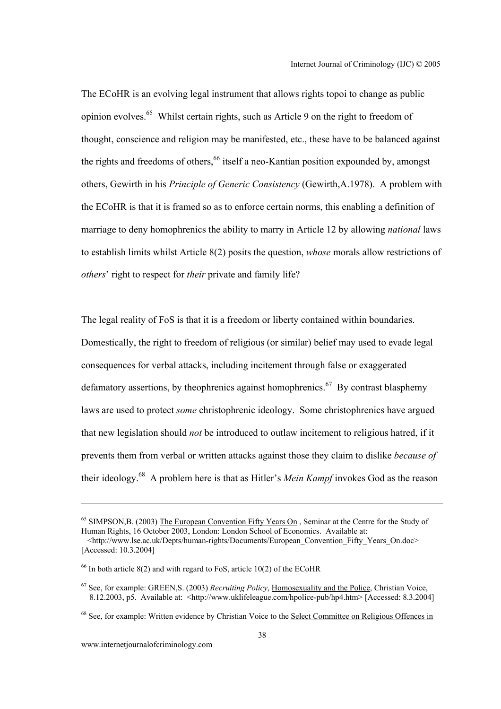The ECoHR is an evolving legal instrument that allows rights topoi to change as public opinion evolves.65 Whilst certain rights, such as Article 9 on the right to freedom of thought, conscience and religion may be manifested, etc., these have to be balanced against the rights and freedoms of others,<sup>66</sup> itself a neo-Kantian position expounded by, amongst others, Gewirth in his *Principle of Generic Consistency* (Gewirth,A.1978). A problem with the ECoHR is that it is framed so as to enforce certain norms, this enabling a definition of marriage to deny homophrenics the ability to marry in Article 12 by allowing *national* laws to establish limits whilst Article 8(2) posits the question, *whose* morals allow restrictions of *others*' right to respect for *their* private and family life?

The legal reality of FoS is that it is a freedom or liberty contained within boundaries. Domestically, the right to freedom of religious (or similar) belief may used to evade legal consequences for verbal attacks, including incitement through false or exaggerated defamatory assertions, by the ophrenics against homophrenics.<sup>67</sup> By contrast blasphemy laws are used to protect *some* christophrenic ideology. Some christophrenics have argued that new legislation should *not* be introduced to outlaw incitement to religious hatred, if it prevents them from verbal or written attacks against those they claim to dislike *because of* their ideology.68 A problem here is that as Hitler's *Mein Kampf* invokes God as the reason

 $\overline{a}$ 

<sup>&</sup>lt;sup>65</sup> SIMPSON,B. (2003) The European Convention Fifty Years On, Seminar at the Centre for the Study of Human Rights, 16 October 2003, London: London School of Economics. Available at:

 $\langle$ http://www.lse.ac.uk/Depts/human-rights/Documents/European\_Convention\_Fifty\_Years\_On.doc> [Accessed: 10.3.2004]

<sup>&</sup>lt;sup>66</sup> In both article 8(2) and with regard to FoS, article 10(2) of the ECoHR

<sup>67</sup> See, for example: GREEN,S. (2003) *Recruiting Policy*, Homosexuality and the Police, Christian Voice, 8.12.2003, p5. Available at: <http://www.uklifeleague.com/hpolice-pub/hp4.htm> [Accessed: 8.3.2004]

<sup>&</sup>lt;sup>68</sup> See, for example: Written evidence by Christian Voice to the Select Committee on Religious Offences in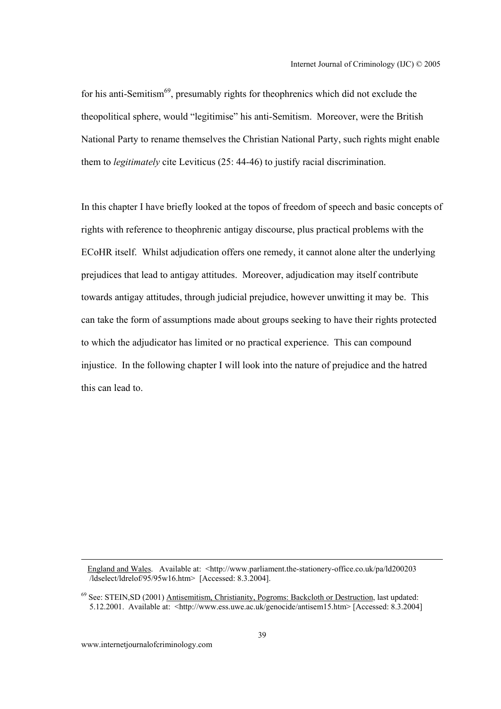for his anti-Semitism<sup>69</sup>, presumably rights for the ophrenics which did not exclude the theopolitical sphere, would "legitimise" his anti-Semitism. Moreover, were the British National Party to rename themselves the Christian National Party, such rights might enable them to *legitimately* cite Leviticus (25: 44-46) to justify racial discrimination.

In this chapter I have briefly looked at the topos of freedom of speech and basic concepts of rights with reference to theophrenic antigay discourse, plus practical problems with the ECoHR itself. Whilst adjudication offers one remedy, it cannot alone alter the underlying prejudices that lead to antigay attitudes. Moreover, adjudication may itself contribute towards antigay attitudes, through judicial prejudice, however unwitting it may be. This can take the form of assumptions made about groups seeking to have their rights protected to which the adjudicator has limited or no practical experience. This can compound injustice. In the following chapter I will look into the nature of prejudice and the hatred this can lead to.

England and Wales. Available at: <http://www.parliament.the-stationery-office.co.uk/pa/ld200203  $\sqrt{\frac{1}{3}}$  /ldselect/ldrelof/95/95w16.htm> [Accessed: 8.3.2004].

<sup>69</sup> See: STEIN,SD (2001) Antisemitism, Christianity, Pogroms: Backcloth or Destruction, last updated: 5.12.2001. Available at: <http://www.ess.uwe.ac.uk/genocide/antisem15.htm> [Accessed: 8.3.2004]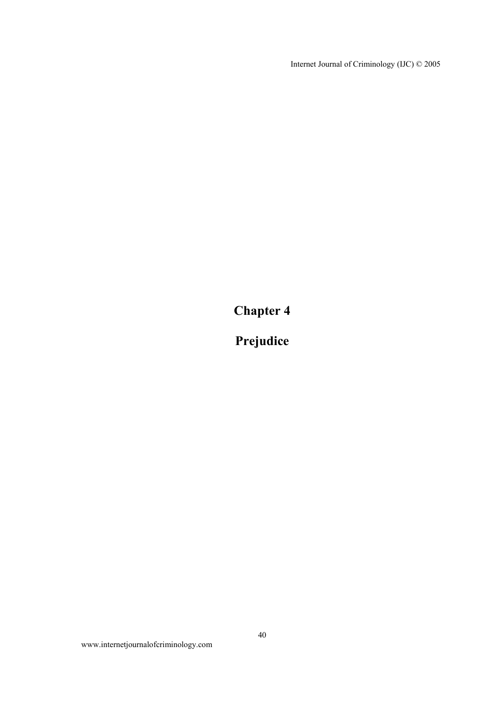Internet Journal of Criminology (IJC) © 2005

**Chapter 4** 

**Prejudice**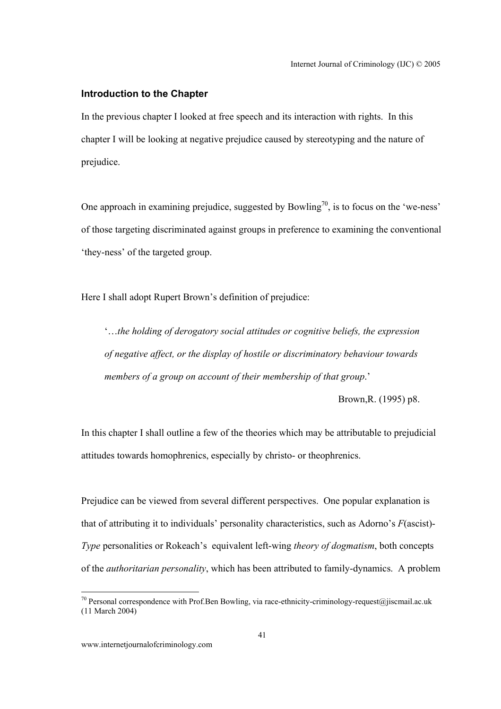### **Introduction to the Chapter**

In the previous chapter I looked at free speech and its interaction with rights. In this chapter I will be looking at negative prejudice caused by stereotyping and the nature of prejudice.

One approach in examining prejudice, suggested by Bowling<sup>70</sup>, is to focus on the 'we-ness' of those targeting discriminated against groups in preference to examining the conventional 'they-ness' of the targeted group.

Here I shall adopt Rupert Brown's definition of prejudice:

'…*the holding of derogatory social attitudes or cognitive beliefs, the expression of negative affect, or the display of hostile or discriminatory behaviour towards members of a group on account of their membership of that group*.'

Brown,R. (1995) p8.

In this chapter I shall outline a few of the theories which may be attributable to prejudicial attitudes towards homophrenics, especially by christo- or theophrenics.

Prejudice can be viewed from several different perspectives. One popular explanation is that of attributing it to individuals' personality characteristics, such as Adorno's *F*(ascist)- *Type* personalities or Rokeach's equivalent left-wing *theory of dogmatism*, both concepts of the *authoritarian personality*, which has been attributed to family-dynamics. A problem

 $\overline{a}$ 

<sup>&</sup>lt;sup>70</sup> Personal correspondence with Prof.Ben Bowling, via race-ethnicity-criminology-request@jiscmail.ac.uk (11 March 2004)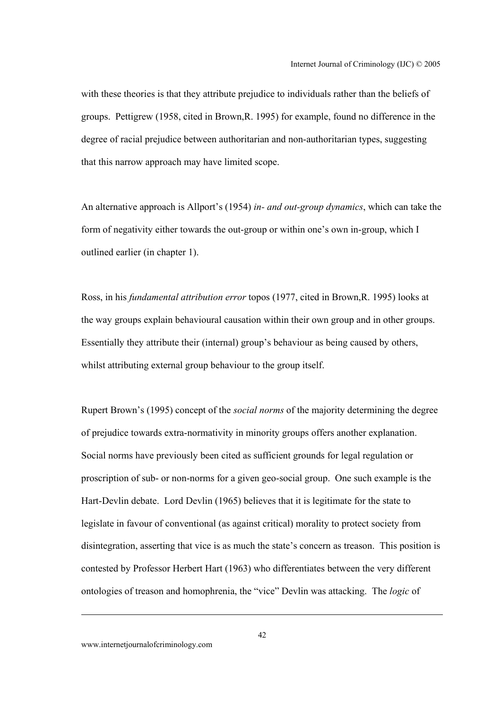with these theories is that they attribute prejudice to individuals rather than the beliefs of groups. Pettigrew (1958, cited in Brown,R. 1995) for example, found no difference in the degree of racial prejudice between authoritarian and non-authoritarian types, suggesting that this narrow approach may have limited scope.

An alternative approach is Allport's (1954) *in- and out-group dynamics*, which can take the form of negativity either towards the out-group or within one's own in-group, which I outlined earlier (in chapter 1).

Ross, in his *fundamental attribution error* topos (1977, cited in Brown,R. 1995) looks at the way groups explain behavioural causation within their own group and in other groups. Essentially they attribute their (internal) group's behaviour as being caused by others, whilst attributing external group behaviour to the group itself.

Rupert Brown's (1995) concept of the *social norms* of the majority determining the degree of prejudice towards extra-normativity in minority groups offers another explanation. Social norms have previously been cited as sufficient grounds for legal regulation or proscription of sub- or non-norms for a given geo-social group. One such example is the Hart-Devlin debate. Lord Devlin (1965) believes that it is legitimate for the state to legislate in favour of conventional (as against critical) morality to protect society from disintegration, asserting that vice is as much the state's concern as treason. This position is contested by Professor Herbert Hart (1963) who differentiates between the very different ontologies of treason and homophrenia, the "vice" Devlin was attacking. The *logic* of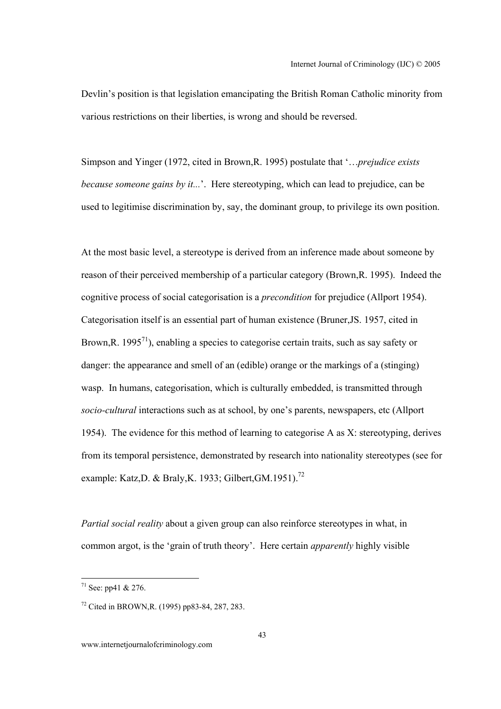Devlin's position is that legislation emancipating the British Roman Catholic minority from various restrictions on their liberties, is wrong and should be reversed.

Simpson and Yinger (1972, cited in Brown,R. 1995) postulate that '…*prejudice exists because someone gains by it...*'. Here stereotyping, which can lead to prejudice, can be used to legitimise discrimination by, say, the dominant group, to privilege its own position.

At the most basic level, a stereotype is derived from an inference made about someone by reason of their perceived membership of a particular category (Brown,R. 1995). Indeed the cognitive process of social categorisation is a *precondition* for prejudice (Allport 1954). Categorisation itself is an essential part of human existence (Bruner,JS. 1957, cited in Brown, R. 1995<sup>71</sup>), enabling a species to categorise certain traits, such as say safety or danger: the appearance and smell of an (edible) orange or the markings of a (stinging) wasp. In humans, categorisation, which is culturally embedded, is transmitted through *socio-cultural* interactions such as at school, by one's parents, newspapers, etc (Allport 1954). The evidence for this method of learning to categorise A as X: stereotyping, derives from its temporal persistence, demonstrated by research into nationality stereotypes (see for example: Katz, D. & Braly, K. 1933; Gilbert, GM. 1951).<sup>72</sup>

*Partial social reality* about a given group can also reinforce stereotypes in what, in common argot, is the 'grain of truth theory'. Here certain *apparently* highly visible

<sup>&</sup>lt;sup>71</sup> See: pp41 & 276.

<sup>72</sup> Cited in BROWN,R. (1995) pp83-84, 287, 283.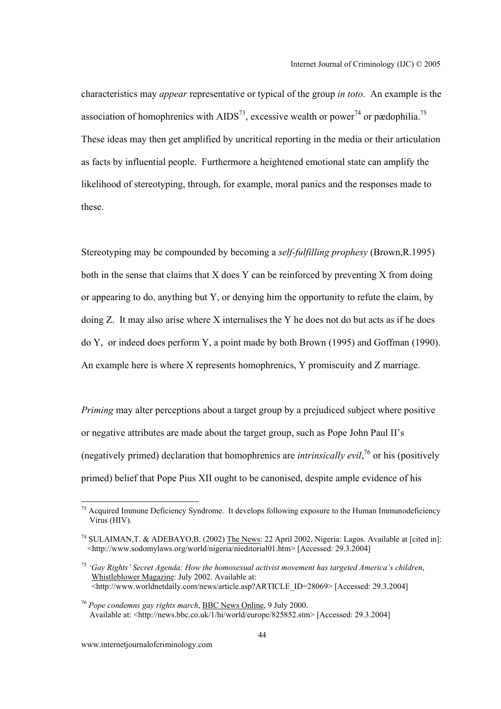characteristics may *appear* representative or typical of the group *in toto*. An example is the association of homophrenics with  $AIDS^{73}$ , excessive wealth or power<sup>74</sup> or pædophilia.<sup>75</sup> These ideas may then get amplified by uncritical reporting in the media or their articulation as facts by influential people. Furthermore a heightened emotional state can amplify the likelihood of stereotyping, through, for example, moral panics and the responses made to these.

Stereotyping may be compounded by becoming a *self-fulfilling prophesy* (Brown,R.1995) both in the sense that claims that X does Y can be reinforced by preventing X from doing or appearing to do, anything but Y, or denying him the opportunity to refute the claim, by doing Z. It may also arise where X internalises the Y he does not do but acts as if he does do Y, or indeed does perform Y, a point made by both Brown (1995) and Goffman (1990). An example here is where X represents homophrenics, Y promiscuity and Z marriage.

*Priming* may alter perceptions about a target group by a prejudiced subject where positive or negative attributes are made about the target group, such as Pope John Paul II's (negatively primed) declaration that homophrenics are *intrinsically evil*, 76 or his (positively primed) belief that Pope Pius XII ought to be canonised, despite ample evidence of his

 $<sup>73</sup>$  Acquired Immune Deficiency Syndrome. It develops following exposure to the Human Immunodeficiency</sup> Virus (HIV).

<sup>74</sup> SULAIMAN,T. & ADEBAYO,B. (2002) The News: 22 April 2002, Nigeria: Lagos. Available at [cited in]: <http://www.sodomylaws.org/world/nigeria/nieditorial01.htm> [Accessed: 29.3.2004]

<sup>75</sup> *'Gay Rights' Secret Agenda: How the homosexual activist movement has targeted America's children*, Whistleblower Magazine: July 2002. Available at:  $\overline{\text{K}}$ thtp://www.worldnetdaily.com/news/article.asp?ARTICLE\_ID=28069> [Accessed: 29.3.2004]

<sup>76</sup> *Pope condemns gay rights march*, BBC News Online, 9 July 2000. Available at: <http://news.bbc.co.uk/1/hi/world/europe/825852.stm> [Accessed: 29.3.2004]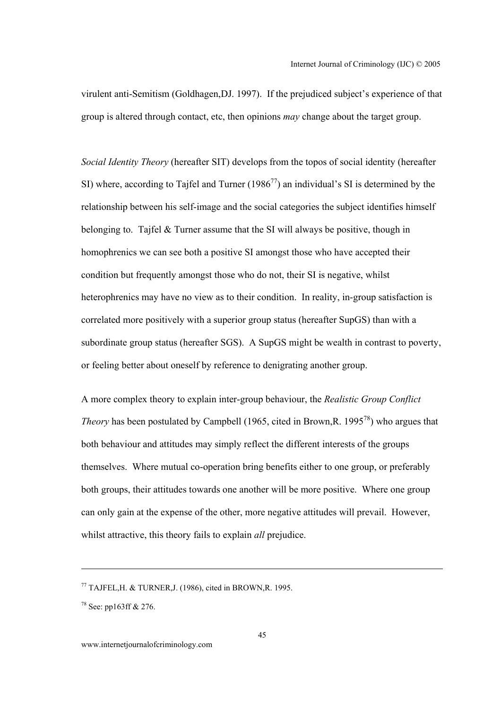virulent anti-Semitism (Goldhagen,DJ. 1997). If the prejudiced subject's experience of that group is altered through contact, etc, then opinions *may* change about the target group.

*Social Identity Theory* (hereafter SIT) develops from the topos of social identity (hereafter SI) where, according to Tajfel and Turner (1986<sup>77</sup>) an individual's SI is determined by the relationship between his self-image and the social categories the subject identifies himself belonging to. Tajfel & Turner assume that the SI will always be positive, though in homophrenics we can see both a positive SI amongst those who have accepted their condition but frequently amongst those who do not, their SI is negative, whilst heterophrenics may have no view as to their condition. In reality, in-group satisfaction is correlated more positively with a superior group status (hereafter SupGS) than with a subordinate group status (hereafter SGS). A SupGS might be wealth in contrast to poverty, or feeling better about oneself by reference to denigrating another group.

A more complex theory to explain inter-group behaviour, the *Realistic Group Conflict Theory* has been postulated by Campbell (1965, cited in Brown, R. 1995<sup>78</sup>) who argues that both behaviour and attitudes may simply reflect the different interests of the groups themselves. Where mutual co-operation bring benefits either to one group, or preferably both groups, their attitudes towards one another will be more positive. Where one group can only gain at the expense of the other, more negative attitudes will prevail. However, whilst attractive, this theory fails to explain *all* prejudice.

 $77$  TAJFEL, H. & TURNER, J. (1986), cited in BROWN, R. 1995.

<sup>78</sup> See: pp163ff & 276.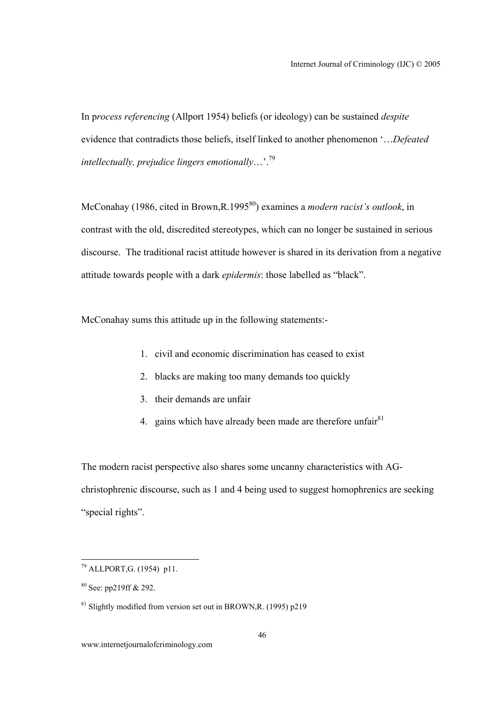In p*rocess referencing* (Allport 1954) beliefs (or ideology) can be sustained *despite* evidence that contradicts those beliefs, itself linked to another phenomenon '…*Defeated intellectually, prejudice lingers emotionally*…'.79

McConahay (1986, cited in Brown, R.1995<sup>80</sup>) examines a *modern racist's outlook*, in contrast with the old, discredited stereotypes, which can no longer be sustained in serious discourse. The traditional racist attitude however is shared in its derivation from a negative attitude towards people with a dark *epidermis*: those labelled as "black".

McConahay sums this attitude up in the following statements:-

- 1. civil and economic discrimination has ceased to exist
- 2. blacks are making too many demands too quickly
- 3. their demands are unfair
- 4. gains which have already been made are therefore unfair $81$

The modern racist perspective also shares some uncanny characteristics with AGchristophrenic discourse, such as 1 and 4 being used to suggest homophrenics are seeking "special rights".

l

 $^{79}$  ALLPORT, G. (1954) p11.

<sup>80</sup> See: pp219ff & 292.

 $81$  Slightly modified from version set out in BROWN, R. (1995) p219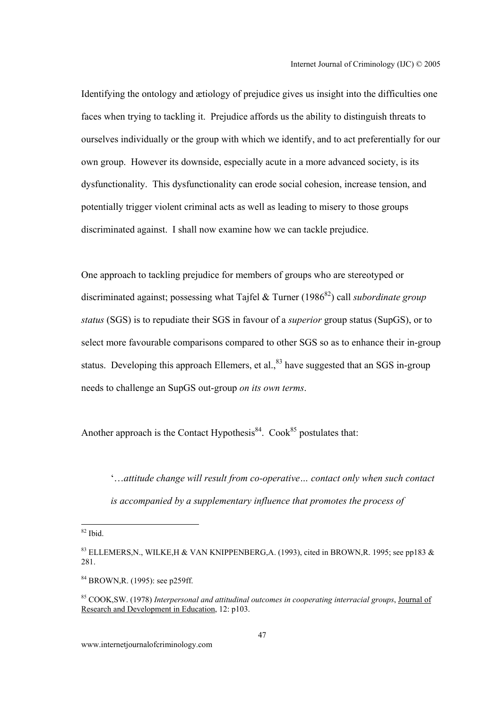Identifying the ontology and ætiology of prejudice gives us insight into the difficulties one faces when trying to tackling it. Prejudice affords us the ability to distinguish threats to ourselves individually or the group with which we identify, and to act preferentially for our own group. However its downside, especially acute in a more advanced society, is its dysfunctionality. This dysfunctionality can erode social cohesion, increase tension, and potentially trigger violent criminal acts as well as leading to misery to those groups discriminated against. I shall now examine how we can tackle prejudice.

One approach to tackling prejudice for members of groups who are stereotyped or discriminated against; possessing what Tajfel & Turner (1986<sup>82</sup>) call *subordinate group status* (SGS) is to repudiate their SGS in favour of a *superior* group status (SupGS), or to select more favourable comparisons compared to other SGS so as to enhance their in-group status. Developing this approach Ellemers, et al., $83$  have suggested that an SGS in-group needs to challenge an SupGS out-group *on its own terms*.

Another approach is the Contact Hypothesis<sup>84</sup>. Cook<sup>85</sup> postulates that:

'…*attitude change will result from co-operative… contact only when such contact is accompanied by a supplementary influence that promotes the process of* 

 $82$  Ibid.

<sup>&</sup>lt;sup>83</sup> ELLEMERS, N., WILKE, H & VAN KNIPPENBERG, A. (1993), cited in BROWN, R. 1995; see pp183 & 281.

<sup>84</sup> BROWN,R. (1995): see p259ff.

<sup>85</sup> COOK,SW. (1978) *Interpersonal and attitudinal outcomes in cooperating interracial groups*, Journal of Research and Development in Education, 12: p103.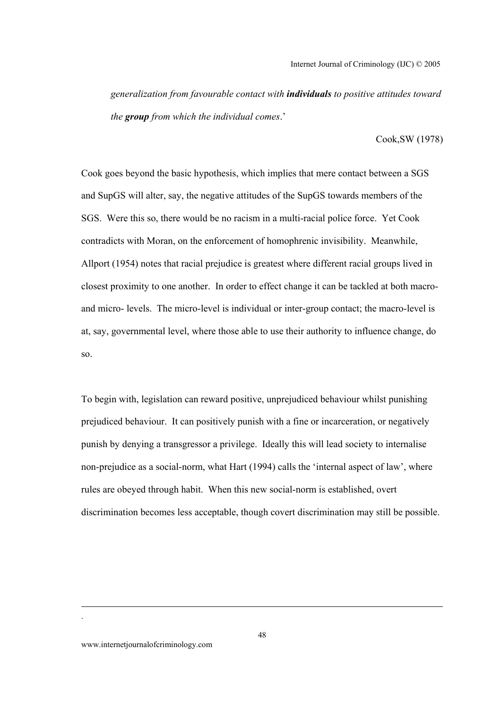*generalization from favourable contact with individuals to positive attitudes toward the group from which the individual comes*.'

Cook,SW (1978)

Cook goes beyond the basic hypothesis, which implies that mere contact between a SGS and SupGS will alter, say, the negative attitudes of the SupGS towards members of the SGS. Were this so, there would be no racism in a multi-racial police force. Yet Cook contradicts with Moran, on the enforcement of homophrenic invisibility. Meanwhile, Allport (1954) notes that racial prejudice is greatest where different racial groups lived in closest proximity to one another. In order to effect change it can be tackled at both macroand micro- levels. The micro-level is individual or inter-group contact; the macro-level is at, say, governmental level, where those able to use their authority to influence change, do so.

To begin with, legislation can reward positive, unprejudiced behaviour whilst punishing prejudiced behaviour. It can positively punish with a fine or incarceration, or negatively punish by denying a transgressor a privilege. Ideally this will lead society to internalise non-prejudice as a social-norm, what Hart (1994) calls the 'internal aspect of law', where rules are obeyed through habit. When this new social-norm is established, overt discrimination becomes less acceptable, though covert discrimination may still be possible.

.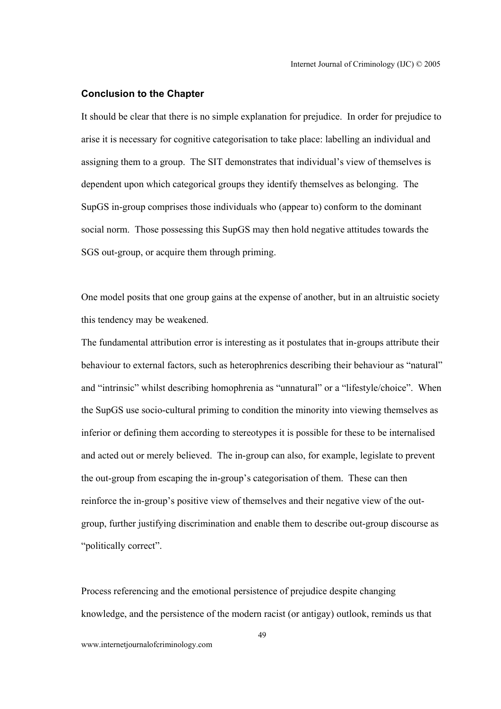#### **Conclusion to the Chapter**

It should be clear that there is no simple explanation for prejudice. In order for prejudice to arise it is necessary for cognitive categorisation to take place: labelling an individual and assigning them to a group. The SIT demonstrates that individual's view of themselves is dependent upon which categorical groups they identify themselves as belonging. The SupGS in-group comprises those individuals who (appear to) conform to the dominant social norm. Those possessing this SupGS may then hold negative attitudes towards the SGS out-group, or acquire them through priming.

One model posits that one group gains at the expense of another, but in an altruistic society this tendency may be weakened.

The fundamental attribution error is interesting as it postulates that in-groups attribute their behaviour to external factors, such as heterophrenics describing their behaviour as "natural" and "intrinsic" whilst describing homophrenia as "unnatural" or a "lifestyle/choice". When the SupGS use socio-cultural priming to condition the minority into viewing themselves as inferior or defining them according to stereotypes it is possible for these to be internalised and acted out or merely believed. The in-group can also, for example, legislate to prevent the out-group from escaping the in-group's categorisation of them. These can then reinforce the in-group's positive view of themselves and their negative view of the outgroup, further justifying discrimination and enable them to describe out-group discourse as "politically correct".

Process referencing and the emotional persistence of prejudice despite changing knowledge, and the persistence of the modern racist (or antigay) outlook, reminds us that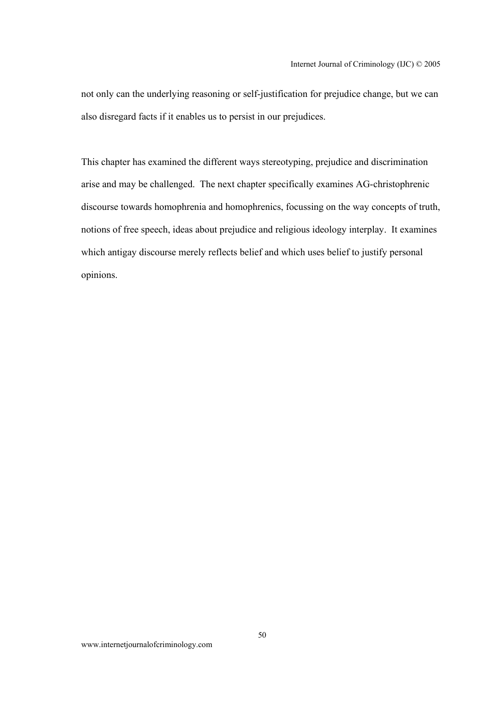not only can the underlying reasoning or self-justification for prejudice change, but we can also disregard facts if it enables us to persist in our prejudices.

This chapter has examined the different ways stereotyping, prejudice and discrimination arise and may be challenged. The next chapter specifically examines AG-christophrenic discourse towards homophrenia and homophrenics, focussing on the way concepts of truth, notions of free speech, ideas about prejudice and religious ideology interplay. It examines which antigay discourse merely reflects belief and which uses belief to justify personal opinions.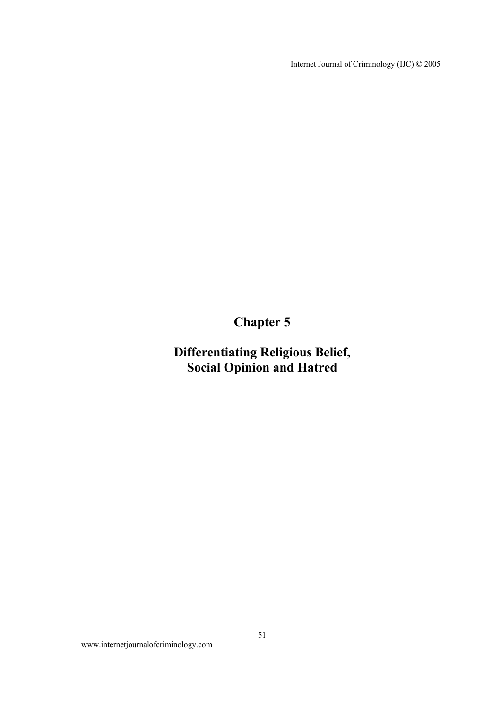Internet Journal of Criminology (IJC) © 2005

**Chapter 5** 

**Differentiating Religious Belief, Social Opinion and Hatred**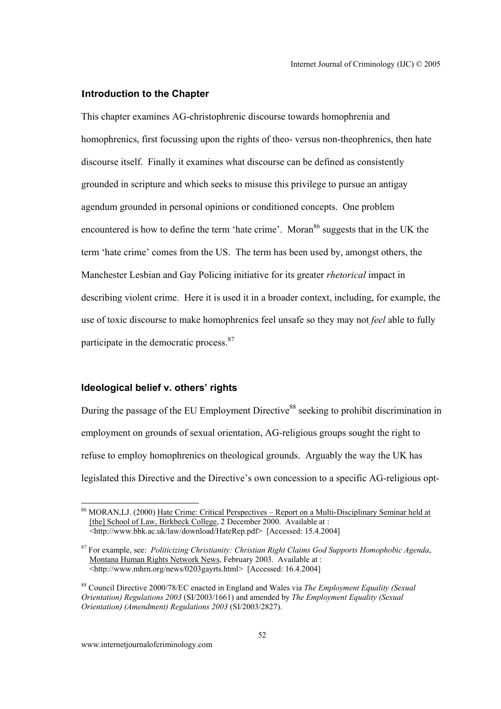#### **Introduction to the Chapter**

This chapter examines AG-christophrenic discourse towards homophrenia and homophrenics, first focussing upon the rights of theo- versus non-theophrenics, then hate discourse itself. Finally it examines what discourse can be defined as consistently grounded in scripture and which seeks to misuse this privilege to pursue an antigay agendum grounded in personal opinions or conditioned concepts. One problem encountered is how to define the term 'hate crime'. Moran<sup>86</sup> suggests that in the UK the term 'hate crime' comes from the US. The term has been used by, amongst others, the Manchester Lesbian and Gay Policing initiative for its greater *rhetorical* impact in describing violent crime. Here it is used it in a broader context, including, for example, the use of toxic discourse to make homophrenics feel unsafe so they may not *feel* able to fully participate in the democratic process.<sup>87</sup>

## **Ideological belief v. others' rights**

During the passage of the EU Employment Directive<sup>88</sup> seeking to prohibit discrimination in employment on grounds of sexual orientation, AG-religious groups sought the right to refuse to employ homophrenics on theological grounds. Arguably the way the UK has legislated this Directive and the Directive's own concession to a specific AG-religious opt-

 $\overline{a}$ 

<sup>86</sup> MORAN,LJ. (2000) Hate Crime: Critical Perspectives – Report on a Multi-Disciplinary Seminar held at [the] School of Law, Birkbeck College, 2 December 2000. Available at : <http://www.bbk.ac.uk/law/download/HateRep.pdf> [Accessed: 15.4.2004]

<sup>87</sup> For example, see: *Politicizing Christianity: Christian Right Claims God Supports Homophobic Agenda*, Montana Human Rights Network News, February 2003. Available at :  $\frac{1}{\text{100}}$  = \http://www.mhrn.org/news/0203gayrts.html> [Accessed: 16.4.2004]

<sup>88</sup> Council Directive 2000/78/EC enacted in England and Wales via *The Employment Equality (Sexual Orientation) Regulations 2003* (SI/2003/1661) and amended by *The Employment Equality (Sexual Orientation) (Amendment) Regulations 2003* (SI/2003/2827).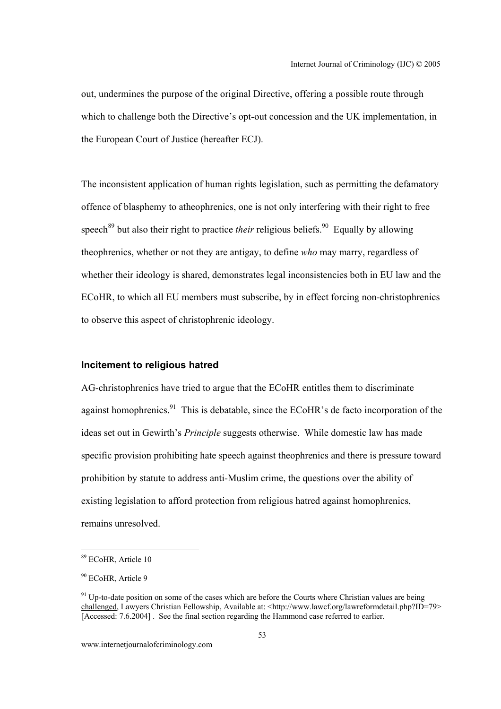out, undermines the purpose of the original Directive, offering a possible route through which to challenge both the Directive's opt-out concession and the UK implementation, in the European Court of Justice (hereafter ECJ).

The inconsistent application of human rights legislation, such as permitting the defamatory offence of blasphemy to atheophrenics, one is not only interfering with their right to free speech<sup>89</sup> but also their right to practice *their* religious beliefs.<sup>90</sup> Equally by allowing theophrenics, whether or not they are antigay, to define *who* may marry, regardless of whether their ideology is shared, demonstrates legal inconsistencies both in EU law and the ECoHR, to which all EU members must subscribe, by in effect forcing non-christophrenics to observe this aspect of christophrenic ideology.

## **Incitement to religious hatred**

AG-christophrenics have tried to argue that the ECoHR entitles them to discriminate against homophrenics.<sup>91</sup> This is debatable, since the ECoHR's de facto incorporation of the ideas set out in Gewirth's *Principle* suggests otherwise. While domestic law has made specific provision prohibiting hate speech against theophrenics and there is pressure toward prohibition by statute to address anti-Muslim crime, the questions over the ability of existing legislation to afford protection from religious hatred against homophrenics, remains unresolved.

<sup>89</sup> ECoHR, Article 10

<sup>&</sup>lt;sup>90</sup> ECoHR, Article 9

 $91$  Up-to-date position on some of the cases which are before the Courts where Christian values are being challenged, Lawyers Christian Fellowship, Available at: <http://www.lawcf.org/lawreformdetail.php?ID=79> [Accessed: 7.6.2004]. See the final section regarding the Hammond case referred to earlier.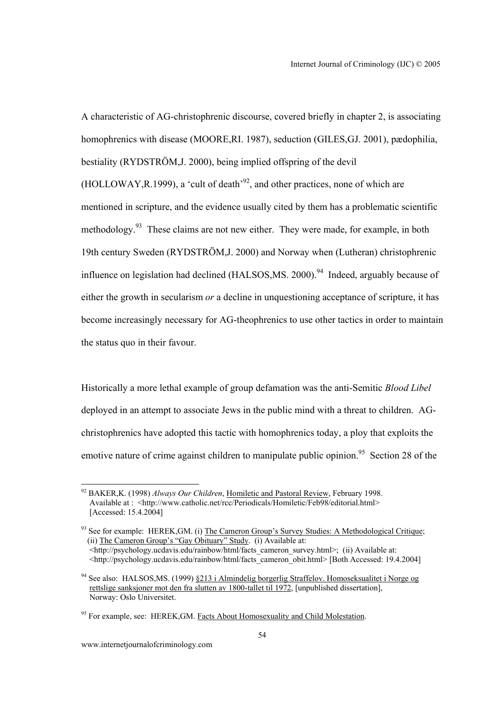A characteristic of AG-christophrenic discourse, covered briefly in chapter 2, is associating homophrenics with disease (MOORE,RI. 1987), seduction (GILES,GJ. 2001), pædophilia, bestiality (RYDSTRÖM,J. 2000), being implied offspring of the devil (HOLLOWAY, R.1999), a 'cult of death<sup>'92</sup>, and other practices, none of which are mentioned in scripture, and the evidence usually cited by them has a problematic scientific methodology.<sup>93</sup> These claims are not new either. They were made, for example, in both 19th century Sweden (RYDSTRÖM,J. 2000) and Norway when (Lutheran) christophrenic influence on legislation had declined  $(HALSOS, MS, 2000)$ <sup>94</sup> Indeed, arguably because of either the growth in secularism *or* a decline in unquestioning acceptance of scripture, it has become increasingly necessary for AG-theophrenics to use other tactics in order to maintain the status quo in their favour.

Historically a more lethal example of group defamation was the anti-Semitic *Blood Libel* deployed in an attempt to associate Jews in the public mind with a threat to children. AGchristophrenics have adopted this tactic with homophrenics today, a ploy that exploits the emotive nature of crime against children to manipulate public opinion.<sup>95</sup> Section 28 of the

<sup>92</sup> BAKER,K. (1998) *Always Our Children*, Homiletic and Pastoral Review, February 1998. Available at : <http://www.catholic.net/rcc/Periodicals/Homiletic/Feb98/editorial.html> [Accessed: 15.4.2004]

 $93$  See for example: HEREK, GM. (i) The Cameron Group's Survey Studies: A Methodological Critique; (ii) The Cameron Group's "Gay Obituary" Study. (i) Available at:  $\frac{\text{th}}{\text{t}}$  /http://psychology.ucdavis.edu/rainbow/html/facts cameron\_survey.html>; (ii) Available at: <http://psychology.ucdavis.edu/rainbow/html/facts\_cameron\_obit.html> [Both Accessed: 19.4.2004]

<sup>&</sup>lt;sup>94</sup> See also: HALSOS, MS. (1999) §213 i Almindelig borgerlig Straffelov. Homoseksualitet i Norge og rettslige sanksjoner mot den fra slutten av 1800-tallet til 1972, [unpublished dissertation], Norway: Oslo Universitet.

<sup>&</sup>lt;sup>95</sup> For example, see: HEREK, GM. Facts About Homosexuality and Child Molestation.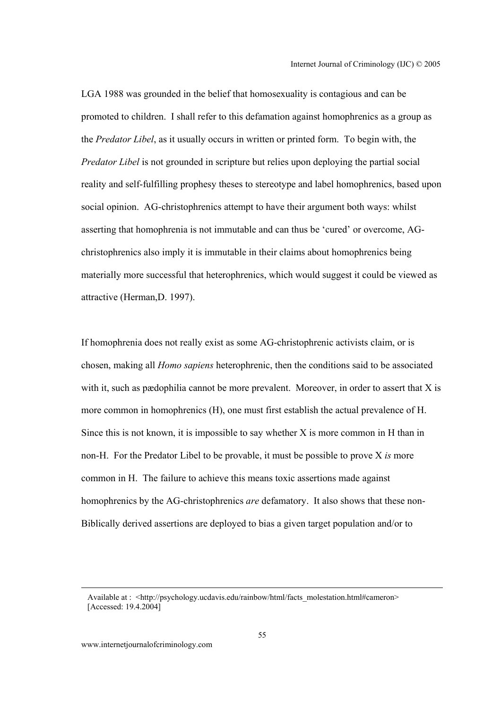LGA 1988 was grounded in the belief that homosexuality is contagious and can be promoted to children. I shall refer to this defamation against homophrenics as a group as the *Predator Libel*, as it usually occurs in written or printed form. To begin with, the *Predator Libel* is not grounded in scripture but relies upon deploying the partial social reality and self-fulfilling prophesy theses to stereotype and label homophrenics, based upon social opinion. AG-christophrenics attempt to have their argument both ways: whilst asserting that homophrenia is not immutable and can thus be 'cured' or overcome, AGchristophrenics also imply it is immutable in their claims about homophrenics being materially more successful that heterophrenics, which would suggest it could be viewed as attractive (Herman,D. 1997).

If homophrenia does not really exist as some AG-christophrenic activists claim, or is chosen, making all *Homo sapiens* heterophrenic, then the conditions said to be associated with it, such as pædophilia cannot be more prevalent. Moreover, in order to assert that X is more common in homophrenics (H), one must first establish the actual prevalence of H. Since this is not known, it is impossible to say whether X is more common in H than in non-H. For the Predator Libel to be provable, it must be possible to prove X *is* more common in H. The failure to achieve this means toxic assertions made against homophrenics by the AG-christophrenics *are* defamatory. It also shows that these non-Biblically derived assertions are deployed to bias a given target population and/or to

Available at : <http://psychology.ucdavis.edu/rainbow/html/facts\_molestation.html#cameron> [Accessed: 19.4.2004]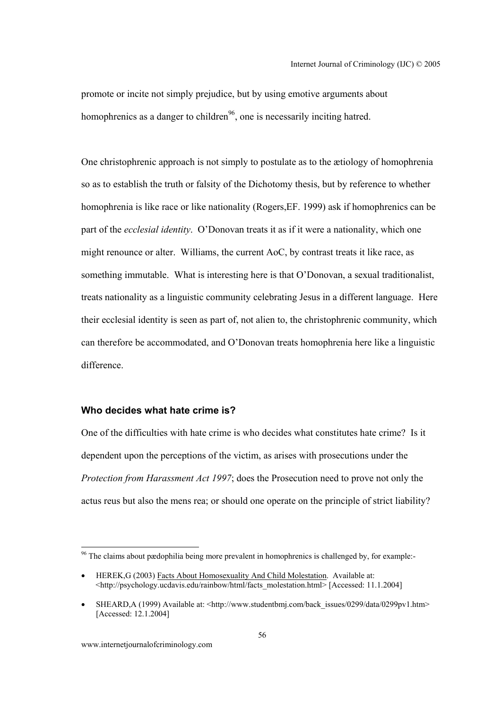promote or incite not simply prejudice, but by using emotive arguments about homophrenics as a danger to children<sup>96</sup>, one is necessarily inciting hatred.

One christophrenic approach is not simply to postulate as to the ætiology of homophrenia so as to establish the truth or falsity of the Dichotomy thesis, but by reference to whether homophrenia is like race or like nationality (Rogers,EF. 1999) ask if homophrenics can be part of the *ecclesial identity*. O'Donovan treats it as if it were a nationality, which one might renounce or alter. Williams, the current AoC, by contrast treats it like race, as something immutable. What is interesting here is that O'Donovan, a sexual traditionalist, treats nationality as a linguistic community celebrating Jesus in a different language. Here their ecclesial identity is seen as part of, not alien to, the christophrenic community, which can therefore be accommodated, and O'Donovan treats homophrenia here like a linguistic difference.

## **Who decides what hate crime is?**

One of the difficulties with hate crime is who decides what constitutes hate crime? Is it dependent upon the perceptions of the victim, as arises with prosecutions under the *Protection from Harassment Act 1997*; does the Prosecution need to prove not only the actus reus but also the mens rea; or should one operate on the principle of strict liability?

l

<sup>96</sup> The claims about pædophilia being more prevalent in homophrenics is challenged by, for example:-

<sup>•</sup> HEREK,G (2003) Facts About Homosexuality And Child Molestation. Available at: <http://psychology.ucdavis.edu/rainbow/html/facts\_molestation.html> [Accessed: 11.1.2004]

SHEARD,A (1999) Available at: <http://www.studentbmj.com/back\_issues/0299/data/0299pv1.htm> [Accessed: 12.1.2004]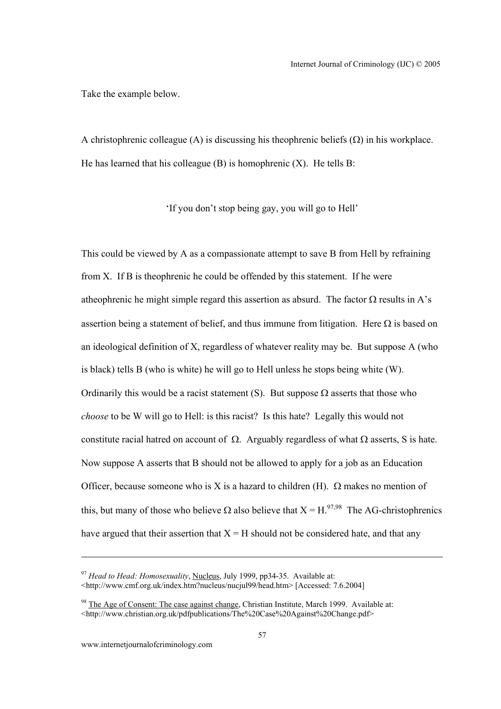Take the example below.

A christophrenic colleague (A) is discussing his theophrenic beliefs  $(\Omega)$  in his workplace. He has learned that his colleague  $(B)$  is homophrenic  $(X)$ . He tells B:

'If you don't stop being gay, you will go to Hell'

This could be viewed by A as a compassionate attempt to save B from Hell by refraining from X. If B is theophrenic he could be offended by this statement. If he were atheophrenic he might simple regard this assertion as absurd. The factor  $\Omega$  results in A's assertion being a statement of belief, and thus immune from litigation. Here  $\Omega$  is based on an ideological definition of X, regardless of whatever reality may be. But suppose A (who is black) tells B (who is white) he will go to Hell unless he stops being white (W). Ordinarily this would be a racist statement (S). But suppose  $\Omega$  asserts that those who *choose* to be W will go to Hell: is this racist? Is this hate? Legally this would not constitute racial hatred on account of  $\Omega$ . Arguably regardless of what  $\Omega$  asserts. S is hate. Now suppose A asserts that B should not be allowed to apply for a job as an Education Officer, because someone who is X is a hazard to children (H).  $\Omega$  makes no mention of this, but many of those who believe  $\Omega$  also believe that  $X = H^{97,98}$ . The AG-christophrenics have argued that their assertion that  $X = H$  should not be considered hate, and that any

<sup>97</sup> *Head to Head: Homosexuality*, Nucleus, July 1999, pp34-35. Available at: <http://www.cmf.org.uk/index.htm?nucleus/nucjul99/head.htm> [Accessed: 7.6.2004]

 $98$  The Age of Consent: The case against change, Christian Institute, March 1999. Available at: <http://www.christian.org.uk/pdfpublications/The%20Case%20Against%20Change.pdf>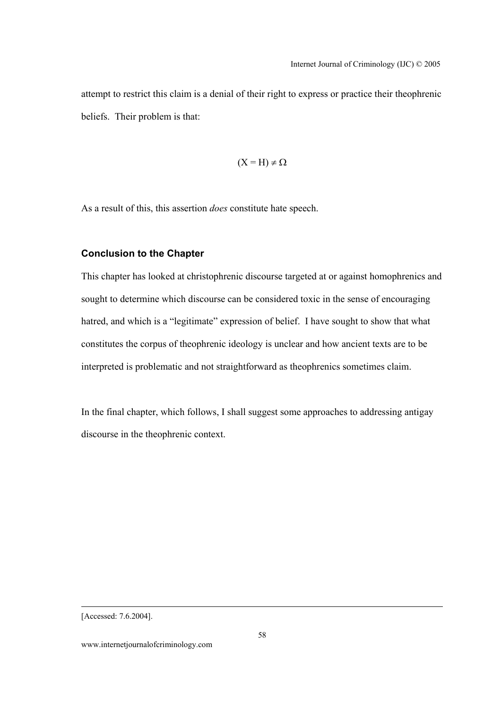attempt to restrict this claim is a denial of their right to express or practice their theophrenic beliefs. Their problem is that:

$$
(X = H) \neq \Omega
$$

As a result of this, this assertion *does* constitute hate speech.

## **Conclusion to the Chapter**

This chapter has looked at christophrenic discourse targeted at or against homophrenics and sought to determine which discourse can be considered toxic in the sense of encouraging hatred, and which is a "legitimate" expression of belief. I have sought to show that what constitutes the corpus of theophrenic ideology is unclear and how ancient texts are to be interpreted is problematic and not straightforward as theophrenics sometimes claim.

In the final chapter, which follows, I shall suggest some approaches to addressing antigay discourse in the theophrenic context.

 <sup>[</sup>Accessed: 7.6.2004].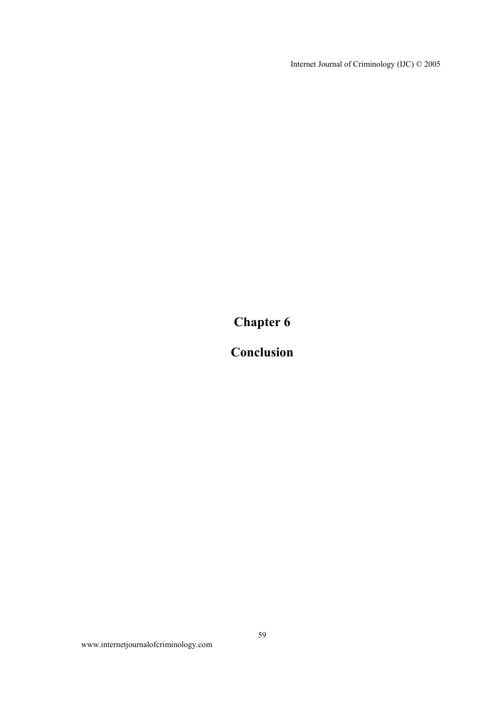Internet Journal of Criminology (IJC) © 2005

**Chapter 6** 

**Conclusion** 

www.internetjournalofcriminology.com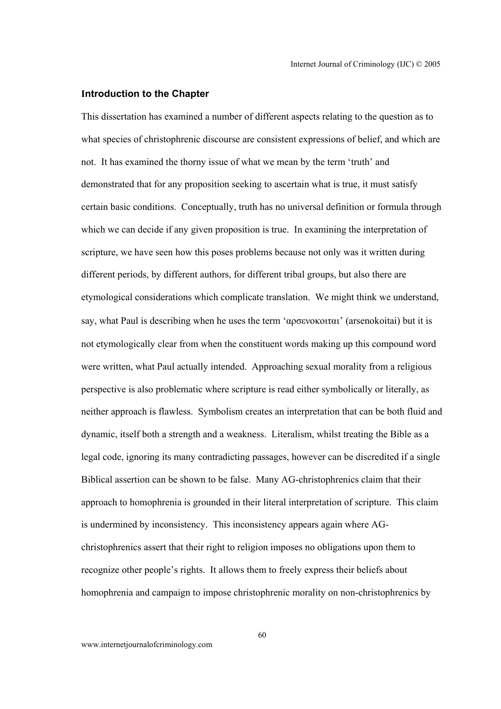#### **Introduction to the Chapter**

This dissertation has examined a number of different aspects relating to the question as to what species of christophrenic discourse are consistent expressions of belief, and which are not. It has examined the thorny issue of what we mean by the term 'truth' and demonstrated that for any proposition seeking to ascertain what is true, it must satisfy certain basic conditions. Conceptually, truth has no universal definition or formula through which we can decide if any given proposition is true. In examining the interpretation of scripture, we have seen how this poses problems because not only was it written during different periods, by different authors, for different tribal groups, but also there are etymological considerations which complicate translation. We might think we understand, say, what Paul is describing when he uses the term 'αρσενοκοιται' (arsenokoitai) but it is not etymologically clear from when the constituent words making up this compound word were written, what Paul actually intended. Approaching sexual morality from a religious perspective is also problematic where scripture is read either symbolically or literally, as neither approach is flawless. Symbolism creates an interpretation that can be both fluid and dynamic, itself both a strength and a weakness. Literalism, whilst treating the Bible as a legal code, ignoring its many contradicting passages, however can be discredited if a single Biblical assertion can be shown to be false. Many AG-christophrenics claim that their approach to homophrenia is grounded in their literal interpretation of scripture. This claim is undermined by inconsistency. This inconsistency appears again where AGchristophrenics assert that their right to religion imposes no obligations upon them to recognize other people's rights. It allows them to freely express their beliefs about homophrenia and campaign to impose christophrenic morality on non-christophrenics by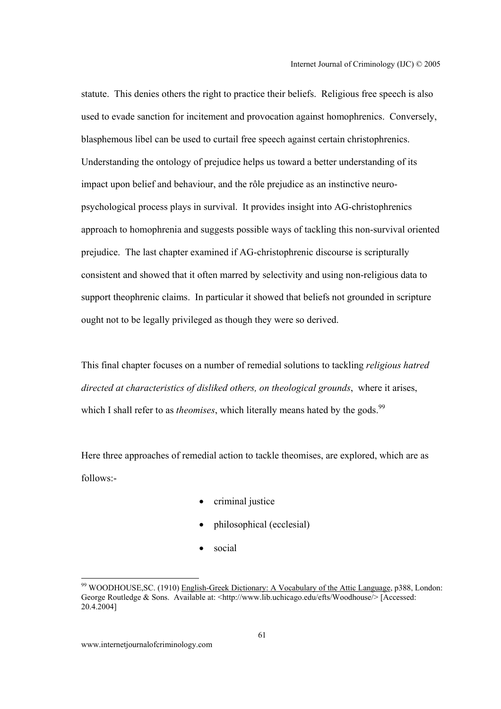statute. This denies others the right to practice their beliefs. Religious free speech is also used to evade sanction for incitement and provocation against homophrenics. Conversely, blasphemous libel can be used to curtail free speech against certain christophrenics. Understanding the ontology of prejudice helps us toward a better understanding of its impact upon belief and behaviour, and the rôle prejudice as an instinctive neuropsychological process plays in survival. It provides insight into AG-christophrenics approach to homophrenia and suggests possible ways of tackling this non-survival oriented prejudice. The last chapter examined if AG-christophrenic discourse is scripturally consistent and showed that it often marred by selectivity and using non-religious data to support theophrenic claims. In particular it showed that beliefs not grounded in scripture ought not to be legally privileged as though they were so derived.

This final chapter focuses on a number of remedial solutions to tackling *religious hatred directed at characteristics of disliked others, on theological grounds*, where it arises, which I shall refer to as *theomises*, which literally means hated by the gods.<sup>99</sup>

Here three approaches of remedial action to tackle theomises, are explored, which are as follows:-

- criminal justice
- philosophical (ecclesial)
- social

<sup>99</sup> WOODHOUSE,SC. (1910) English-Greek Dictionary: A Vocabulary of the Attic Language, p388, London: George Routledge & Sons. Available at: <http://www.lib.uchicago.edu/efts/Woodhouse/>[Accessed: 20.4.2004]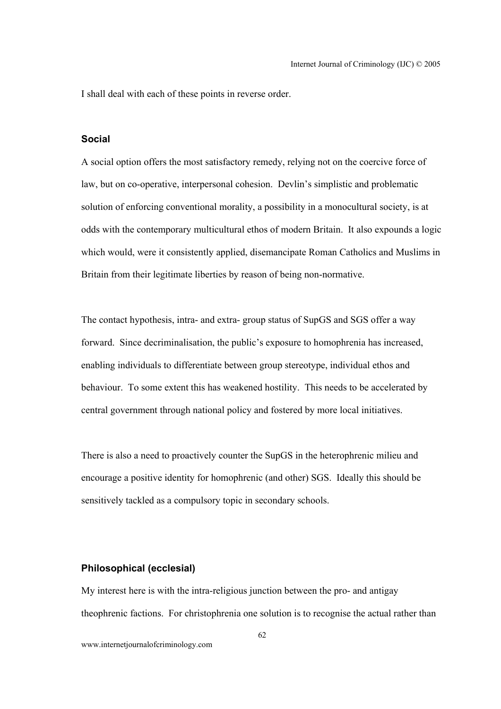I shall deal with each of these points in reverse order.

## **Social**

A social option offers the most satisfactory remedy, relying not on the coercive force of law, but on co-operative, interpersonal cohesion. Devlin's simplistic and problematic solution of enforcing conventional morality, a possibility in a monocultural society, is at odds with the contemporary multicultural ethos of modern Britain. It also expounds a logic which would, were it consistently applied, disemancipate Roman Catholics and Muslims in Britain from their legitimate liberties by reason of being non-normative.

The contact hypothesis, intra- and extra- group status of SupGS and SGS offer a way forward. Since decriminalisation, the public's exposure to homophrenia has increased, enabling individuals to differentiate between group stereotype, individual ethos and behaviour. To some extent this has weakened hostility. This needs to be accelerated by central government through national policy and fostered by more local initiatives.

There is also a need to proactively counter the SupGS in the heterophrenic milieu and encourage a positive identity for homophrenic (and other) SGS. Ideally this should be sensitively tackled as a compulsory topic in secondary schools.

## **Philosophical (ecclesial)**

My interest here is with the intra-religious junction between the pro- and antigay theophrenic factions. For christophrenia one solution is to recognise the actual rather than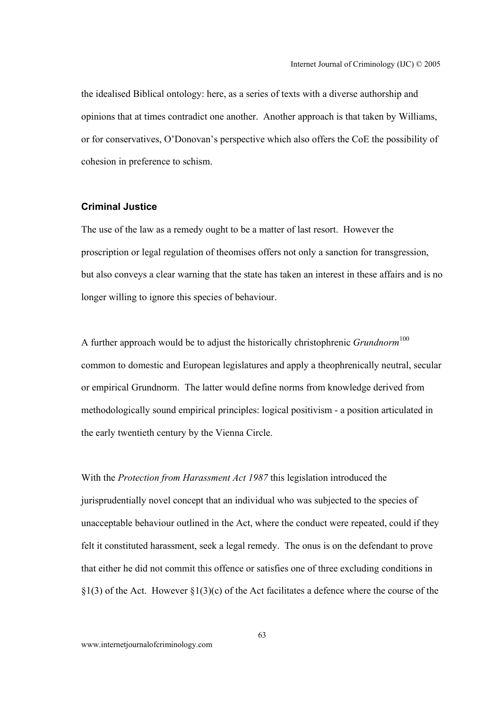the idealised Biblical ontology: here, as a series of texts with a diverse authorship and opinions that at times contradict one another. Another approach is that taken by Williams, or for conservatives, O'Donovan's perspective which also offers the CoE the possibility of cohesion in preference to schism.

## **Criminal Justice**

The use of the law as a remedy ought to be a matter of last resort. However the proscription or legal regulation of theomises offers not only a sanction for transgression, but also conveys a clear warning that the state has taken an interest in these affairs and is no longer willing to ignore this species of behaviour.

A further approach would be to adjust the historically christophrenic *Grundnorm*<sup>100</sup> common to domestic and European legislatures and apply a theophrenically neutral, secular or empirical Grundnorm. The latter would define norms from knowledge derived from methodologically sound empirical principles: logical positivism - a position articulated in the early twentieth century by the Vienna Circle.

With the *Protection from Harassment Act 1987* this legislation introduced the jurisprudentially novel concept that an individual who was subjected to the species of unacceptable behaviour outlined in the Act, where the conduct were repeated, could if they felt it constituted harassment, seek a legal remedy. The onus is on the defendant to prove that either he did not commit this offence or satisfies one of three excluding conditions in  $\S1(3)$  of the Act. However  $\S1(3)(c)$  of the Act facilitates a defence where the course of the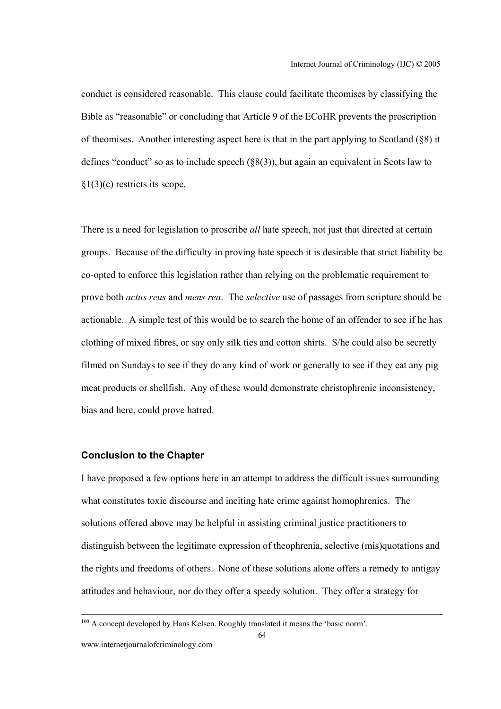conduct is considered reasonable. This clause could facilitate theomises by classifying the Bible as "reasonable" or concluding that Article 9 of the ECoHR prevents the proscription of theomises. Another interesting aspect here is that in the part applying to Scotland (§8) it defines "conduct" so as to include speech  $(\S 8(3))$ , but again an equivalent in Scots law to §1(3)(c) restricts its scope.

There is a need for legislation to proscribe *all* hate speech, not just that directed at certain groups. Because of the difficulty in proving hate speech it is desirable that strict liability be co-opted to enforce this legislation rather than relying on the problematic requirement to prove both *actus reus* and *mens rea*. The *selective* use of passages from scripture should be actionable. A simple test of this would be to search the home of an offender to see if he has clothing of mixed fibres, or say only silk ties and cotton shirts. S/he could also be secretly filmed on Sundays to see if they do any kind of work or generally to see if they eat any pig meat products or shellfish. Any of these would demonstrate christophrenic inconsistency, bias and here, could prove hatred.

### **Conclusion to the Chapter**

I have proposed a few options here in an attempt to address the difficult issues surrounding what constitutes toxic discourse and inciting hate crime against homophrenics. The solutions offered above may be helpful in assisting criminal justice practitioners to distinguish between the legitimate expression of theophrenia, selective (mis)quotations and the rights and freedoms of others. None of these solutions alone offers a remedy to antigay attitudes and behaviour, nor do they offer a speedy solution. They offer a strategy for

<sup>&</sup>lt;sup>100</sup> A concept developed by Hans Kelsen. Roughly translated it means the 'basic norm'.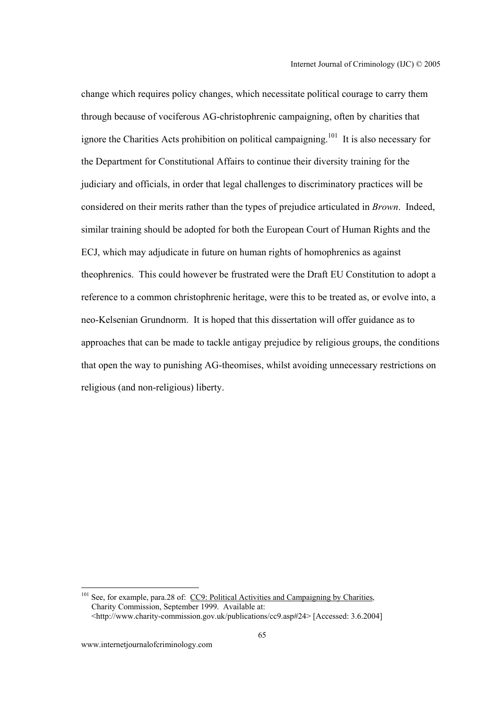change which requires policy changes, which necessitate political courage to carry them through because of vociferous AG-christophrenic campaigning, often by charities that ignore the Charities Acts prohibition on political campaigning.<sup>101</sup> It is also necessary for the Department for Constitutional Affairs to continue their diversity training for the judiciary and officials, in order that legal challenges to discriminatory practices will be considered on their merits rather than the types of prejudice articulated in *Brown*. Indeed, similar training should be adopted for both the European Court of Human Rights and the ECJ, which may adjudicate in future on human rights of homophrenics as against theophrenics. This could however be frustrated were the Draft EU Constitution to adopt a reference to a common christophrenic heritage, were this to be treated as, or evolve into, a neo-Kelsenian Grundnorm. It is hoped that this dissertation will offer guidance as to approaches that can be made to tackle antigay prejudice by religious groups, the conditions that open the way to punishing AG-theomises, whilst avoiding unnecessary restrictions on religious (and non-religious) liberty.

<sup>&</sup>lt;sup>101</sup> See, for example, para.28 of: CC9: Political Activities and Campaigning by Charities, Charity Commission, September 1999. Available at: <http://www.charity-commission.gov.uk/publications/cc9.asp#24> [Accessed: 3.6.2004]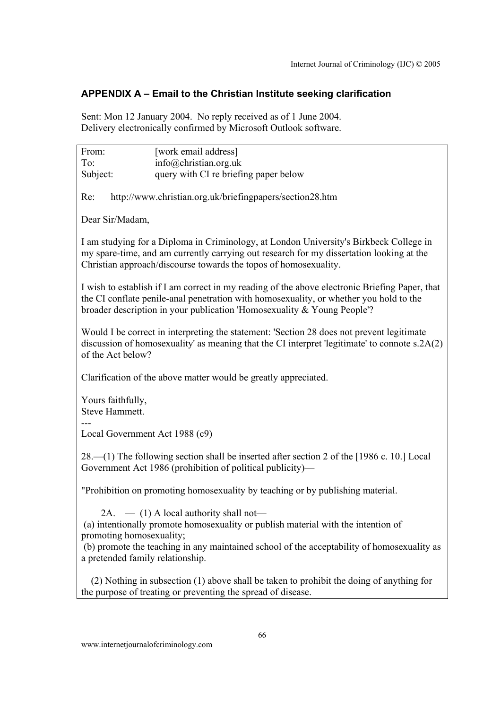# **APPENDIX A – Email to the Christian Institute seeking clarification**

Sent: Mon 12 January 2004. No reply received as of 1 June 2004. Delivery electronically confirmed by Microsoft Outlook software.

From: [work email address] To: info@christian.org.uk Subject: query with CI re briefing paper below Re: http://www.christian.org.uk/briefingpapers/section28.htm Dear Sir/Madam, I am studying for a Diploma in Criminology, at London University's Birkbeck College in my spare-time, and am currently carrying out research for my dissertation looking at the Christian approach/discourse towards the topos of homosexuality. I wish to establish if I am correct in my reading of the above electronic Briefing Paper, that the CI conflate penile-anal penetration with homosexuality, or whether you hold to the broader description in your publication 'Homosexuality & Young People'? Would I be correct in interpreting the statement: 'Section 28 does not prevent legitimate discussion of homosexuality' as meaning that the CI interpret 'legitimate' to connote s.2A(2) of the Act below? Clarification of the above matter would be greatly appreciated. Yours faithfully, Steve Hammett. --- Local Government Act 1988 (c9) 28.—(1) The following section shall be inserted after section 2 of the [1986 c. 10.] Local Government Act 1986 (prohibition of political publicity)— "Prohibition on promoting homosexuality by teaching or by publishing material. 2A.  $-$  (1) A local authority shall not- (a) intentionally promote homosexuality or publish material with the intention of promoting homosexuality; (b) promote the teaching in any maintained school of the acceptability of homosexuality as a pretended family relationship. (2) Nothing in subsection (1) above shall be taken to prohibit the doing of anything for the purpose of treating or preventing the spread of disease.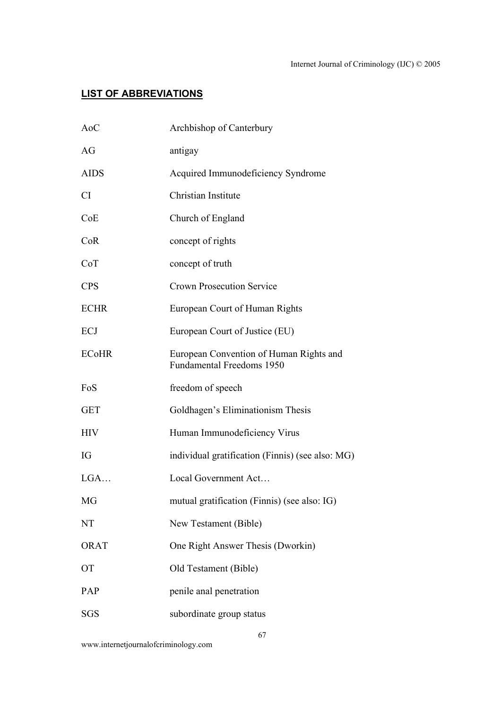# **LIST OF ABBREVIATIONS**

| AoC          | Archbishop of Canterbury                                                    |
|--------------|-----------------------------------------------------------------------------|
| AG           | antigay                                                                     |
| <b>AIDS</b>  | Acquired Immunodeficiency Syndrome                                          |
| <b>CI</b>    | Christian Institute                                                         |
| CoE          | Church of England                                                           |
| CoR          | concept of rights                                                           |
| CoT          | concept of truth                                                            |
| <b>CPS</b>   | <b>Crown Prosecution Service</b>                                            |
| <b>ECHR</b>  | European Court of Human Rights                                              |
| ECJ          | European Court of Justice (EU)                                              |
| <b>ECoHR</b> | European Convention of Human Rights and<br><b>Fundamental Freedoms 1950</b> |
| FoS          | freedom of speech                                                           |
| <b>GET</b>   | Goldhagen's Eliminationism Thesis                                           |
| <b>HIV</b>   | Human Immunodeficiency Virus                                                |
| IG           | individual gratification (Finnis) (see also: MG)                            |
| LGA          | Local Government Act                                                        |
| MG           | mutual gratification (Finnis) (see also: IG)                                |
| NT           | New Testament (Bible)                                                       |
| <b>ORAT</b>  | One Right Answer Thesis (Dworkin)                                           |
| <b>OT</b>    | Old Testament (Bible)                                                       |
| PAP          | penile anal penetration                                                     |
| <b>SGS</b>   | subordinate group status                                                    |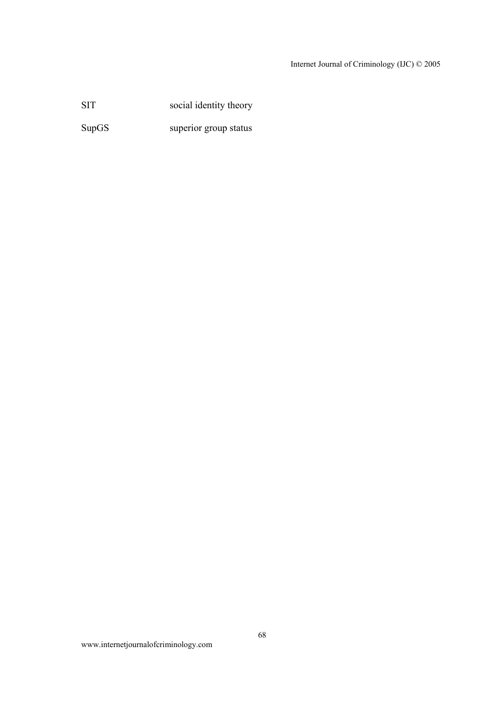# Internet Journal of Criminology (IJC) © 2005

SIT social identity theory

SupGS superior group status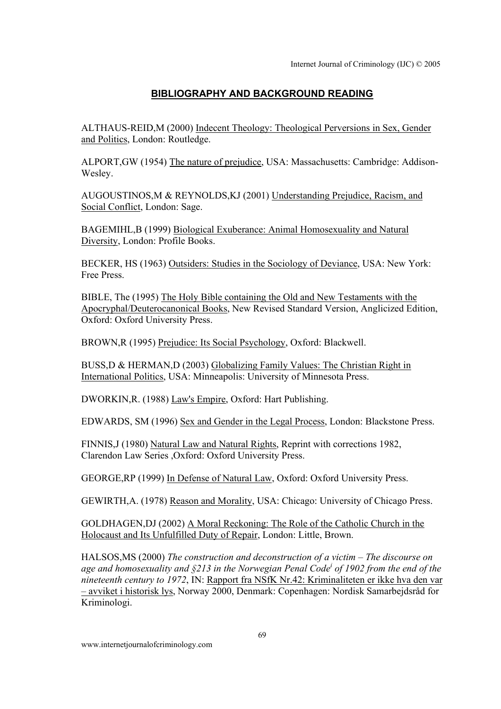# **BIBLIOGRAPHY AND BACKGROUND READING**

ALTHAUS-REID,M (2000) Indecent Theology: Theological Perversions in Sex, Gender and Politics, London: Routledge.

ALPORT,GW (1954) The nature of prejudice, USA: Massachusetts: Cambridge: Addison-Wesley.

AUGOUSTINOS,M & REYNOLDS,KJ (2001) Understanding Prejudice, Racism, and Social Conflict, London: Sage.

BAGEMIHL,B (1999) Biological Exuberance: Animal Homosexuality and Natural Diversity, London: Profile Books.

BECKER, HS (1963) Outsiders: Studies in the Sociology of Deviance, USA: New York: Free Press.

BIBLE, The (1995) The Holy Bible containing the Old and New Testaments with the Apocryphal/Deuterocanonical Books, New Revised Standard Version, Anglicized Edition, Oxford: Oxford University Press.

BROWN,R (1995) Prejudice: Its Social Psychology, Oxford: Blackwell.

BUSS,D & HERMAN,D (2003) Globalizing Family Values: The Christian Right in International Politics, USA: Minneapolis: University of Minnesota Press.

DWORKIN,R. (1988) Law's Empire, Oxford: Hart Publishing.

EDWARDS, SM (1996) Sex and Gender in the Legal Process, London: Blackstone Press.

FINNIS,J (1980) Natural Law and Natural Rights, Reprint with corrections 1982, Clarendon Law Series ,Oxford: Oxford University Press.

GEORGE,RP (1999) In Defense of Natural Law, Oxford: Oxford University Press.

GEWIRTH,A. (1978) Reason and Morality, USA: Chicago: University of Chicago Press.

GOLDHAGEN,DJ (2002) A Moral Reckoning: The Role of the Catholic Church in the Holocaust and Its Unfulfilled Duty of Repair, London: Little, Brown.

HALSOS,MS (2000) *The construction and deconstruction of a victim – The discourse on age and homosexuality and §213 in the Norwegian Penal Code<sup>i</sup> of 1902 from the end of the nineteenth century to 1972*, IN: Rapport fra NSfK Nr.42: Kriminaliteten er ikke hva den var – avviket i historisk lys, Norway 2000, Denmark: Copenhagen: Nordisk Samarbejdsråd for Kriminologi.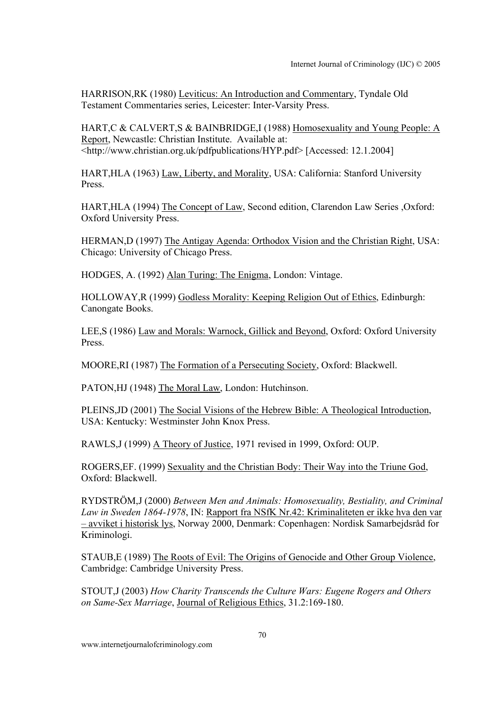HARRISON,RK (1980) Leviticus: An Introduction and Commentary, Tyndale Old Testament Commentaries series, Leicester: Inter-Varsity Press.

HART,C & CALVERT,S & BAINBRIDGE,I (1988) Homosexuality and Young People: A Report, Newcastle: Christian Institute. Available at: <http://www.christian.org.uk/pdfpublications/HYP.pdf> [Accessed: 12.1.2004]

HART,HLA (1963) Law, Liberty, and Morality, USA: California: Stanford University Press.

HART,HLA (1994) The Concept of Law, Second edition, Clarendon Law Series ,Oxford: Oxford University Press.

HERMAN,D (1997) The Antigay Agenda: Orthodox Vision and the Christian Right, USA: Chicago: University of Chicago Press.

HODGES, A. (1992) Alan Turing: The Enigma, London: Vintage.

HOLLOWAY,R (1999) Godless Morality: Keeping Religion Out of Ethics, Edinburgh: Canongate Books.

LEE,S (1986) Law and Morals: Warnock, Gillick and Beyond, Oxford: Oxford University Press.

MOORE,RI (1987) The Formation of a Persecuting Society, Oxford: Blackwell.

PATON,HJ (1948) The Moral Law, London: Hutchinson.

PLEINS,JD (2001) The Social Visions of the Hebrew Bible: A Theological Introduction, USA: Kentucky: Westminster John Knox Press.

RAWLS,J (1999) A Theory of Justice, 1971 revised in 1999, Oxford: OUP.

ROGERS,EF. (1999) Sexuality and the Christian Body: Their Way into the Triune God, Oxford: Blackwell.

RYDSTRÖM,J (2000) *Between Men and Animals: Homosexuality, Bestiality, and Criminal Law in Sweden 1864-1978*, IN: Rapport fra NSfK Nr.42: Kriminaliteten er ikke hva den var – avviket i historisk lys, Norway 2000, Denmark: Copenhagen: Nordisk Samarbejdsråd for Kriminologi.

STAUB,E (1989) The Roots of Evil: The Origins of Genocide and Other Group Violence, Cambridge: Cambridge University Press.

STOUT,J (2003) *How Charity Transcends the Culture Wars: Eugene Rogers and Others on Same-Sex Marriage*, Journal of Religious Ethics, 31.2:169-180.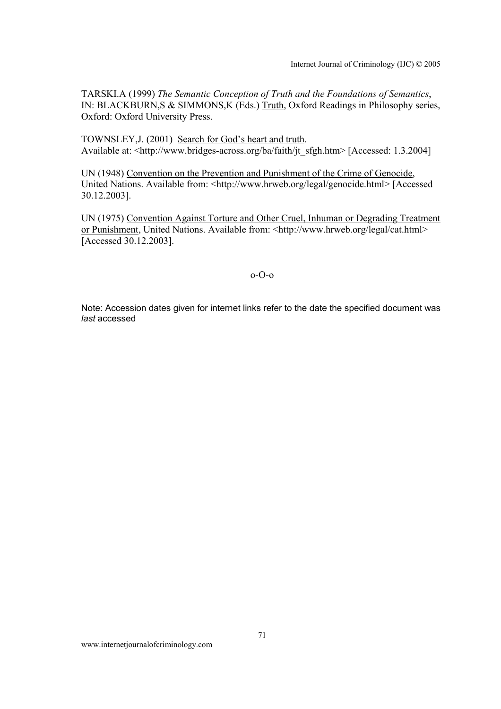TARSKI.A (1999) *The Semantic Conception of Truth and the Foundations of Semantics*, IN: BLACKBURN,S & SIMMONS,K (Eds.) Truth, Oxford Readings in Philosophy series, Oxford: Oxford University Press.

TOWNSLEY,J. (2001) Search for God's heart and truth. Available at: <http://www.bridges-across.org/ba/faith/jt\_sfgh.htm> [Accessed: 1.3.2004]

UN (1948) Convention on the Prevention and Punishment of the Crime of Genocide, United Nations. Available from: <http://www.hrweb.org/legal/genocide.html> [Accessed] 30.12.2003].

UN (1975) Convention Against Torture and Other Cruel, Inhuman or Degrading Treatment or Punishment, United Nations. Available from: <http://www.hrweb.org/legal/cat.html> [Accessed 30.12.2003].

## o-O-o

Note: Accession dates given for internet links refer to the date the specified document was *last* accessed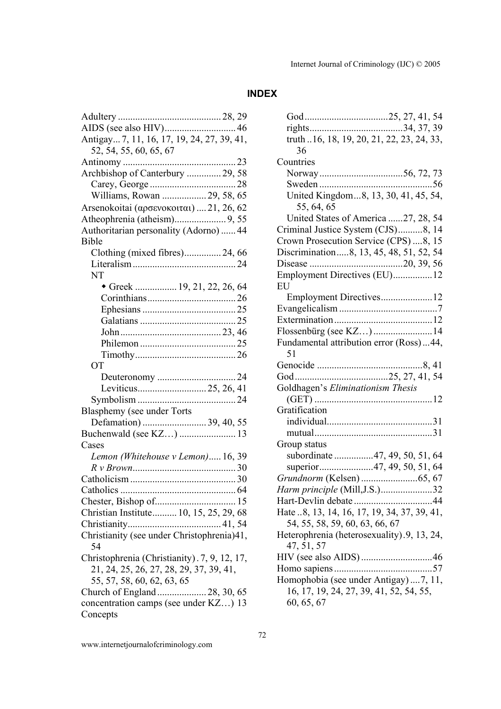# **INDEX**

| Antigay 7, 11, 16, 17, 19, 24, 27, 39, 41,        |  |  |
|---------------------------------------------------|--|--|
| 52, 54, 55, 60, 65, 67                            |  |  |
|                                                   |  |  |
| Archbishop of Canterbury  29, 58                  |  |  |
|                                                   |  |  |
| Williams, Rowan  29, 58, 65                       |  |  |
| Arsenokoitai (αρσενοκοιται)  21, 26, 62           |  |  |
|                                                   |  |  |
| Authoritarian personality (Adorno)  44            |  |  |
| <b>Bible</b>                                      |  |  |
| Clothing (mixed fibres) 24, 66                    |  |  |
|                                                   |  |  |
| NT                                                |  |  |
| Greek  19, 21, 22, 26, 64                         |  |  |
|                                                   |  |  |
|                                                   |  |  |
|                                                   |  |  |
|                                                   |  |  |
|                                                   |  |  |
|                                                   |  |  |
| <b>OT</b>                                         |  |  |
|                                                   |  |  |
| 24                                                |  |  |
|                                                   |  |  |
|                                                   |  |  |
|                                                   |  |  |
| Blasphemy (see under Torts                        |  |  |
| Defamation)  39, 40, 55                           |  |  |
| Buchenwald (see KZ)  13<br>Cases                  |  |  |
|                                                   |  |  |
| Lemon (Whitehouse v Lemon) 16, 39                 |  |  |
|                                                   |  |  |
|                                                   |  |  |
|                                                   |  |  |
|                                                   |  |  |
| Christian Institute 10, 15, 25, 29, 68            |  |  |
| Christianity (see under Christophrenia)41,        |  |  |
| 54                                                |  |  |
| Christophrenia (Christianity). 7, 9, 12, 17,      |  |  |
| 21, 24, 25, 26, 27, 28, 29, 37, 39, 41,           |  |  |
| 55, 57, 58, 60, 62, 63, 65                        |  |  |
| Church of England  28, 30, 65                     |  |  |
| concentration camps (see under KZ) 13<br>Concepts |  |  |

| truth 16, 18, 19, 20, 21, 22, 23, 24, 33,<br>36 |
|-------------------------------------------------|
| Countries                                       |
|                                                 |
| 56                                              |
| United Kingdom8, 13, 30, 41, 45, 54,            |
| 55, 64, 65                                      |
| United States of America 27, 28, 54             |
| Criminal Justice System (CJS)8, 14              |
| Crown Prosecution Service (CPS) 8, 15           |
| Discrimination8, 13, 45, 48, 51, 52, 54         |
|                                                 |
| Employment Directives (EU)12<br>EU              |
| Employment Directives12                         |
|                                                 |
|                                                 |
| Flossenbürg (see KZ) 14                         |
| Fundamental attribution error (Ross)44,<br>51   |
|                                                 |
|                                                 |
| Goldhagen's Eliminationism Thesis               |
|                                                 |
| Gratification                                   |
|                                                 |
|                                                 |
| Group status                                    |
| subordinate 47, 49, 50, 51, 64                  |
| superior47, 49, 50, 51, 64                      |
|                                                 |
| Harm principle (Mill, J.S.)32                   |
|                                                 |
| Hate 8, 13, 14, 16, 17, 19, 34, 37, 39, 41,     |
| 54, 55, 58, 59, 60, 63, 66, 67                  |
| Heterophrenia (heterosexuality).9, 13, 24,      |
| 47, 51, 57                                      |
|                                                 |
|                                                 |
| Homophobia (see under Antigay)  7, 11,          |
| 16, 17, 19, 24, 27, 39, 41, 52, 54, 55,         |
| 60, 65, 67                                      |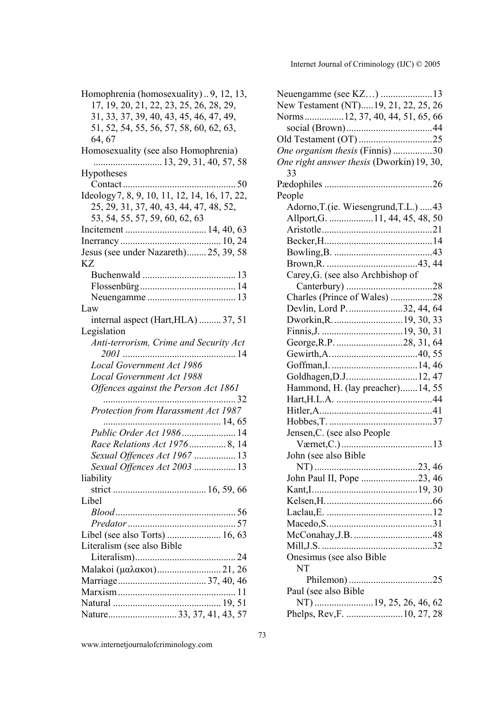Homophrenia (homosexuality) .. 9, 12, 13, 17, 19, 20, 21, 22, 23, 25, 26, 28, 29, 31, 33, 37, 39, 40, 43, 45, 46, 47, 49, 51, 52, 54, 55, 56, 57, 58, 60, 62, 63, 64, 67 Homosexuality (see also Homophrenia) ............................ 13, 29, 31, 40, 57, 58 **Hypotheses** Contact .............................................. 50 Ideology7, 8, 9, 10, 11, 12, 14, 16, 17, 22, 25, 29, 31, 37, 40, 43, 44, 47, 48, 52, 53, 54, 55, 57, 59, 60, 62, 63 Incitement ................................. 14, 40, 63 Inerrancy ......................................... 10, 24 Jesus (see under Nazareth)........ 25, 39, 58 KZ Buchenwald ...................................... 13 Flossenbürg....................................... 14 Neuengamme .................................... 13 Law internal aspect (Hart,HLA) ......... 37, 51 Legislation *Anti-terrorism, Crime and Security Act 2001* .............................................. 14 *Local Government Act 1986 Local Government Act 1988 Offences against the Person Act 1861* ...................................................... 32 *Protection from Harassment Act 1987* ................................................ 14, 65 *Public Order Act 1986*...................... 14 *Race Relations Act 1976*............... 8, 14 *Sexual Offences Act 1967* ................. 13 *Sexual Offences Act 2003* ................. 13 liability strict ...................................... 16, 59, 66 Libel *Blood*................................................. 56 *Predator*............................................ 57 Libel (see also Torts) ...................... 16, 63 Literalism (see also Bible Literalism)......................................... 24 Malakoi (µαλακοι).......................... 21, 26 Marriage.................................... 37, 40, 46 Marxism................................................ 11 Natural ............................................ 19, 51 Nature............................ 33, 37, 41, 43, 57

| Neuengamme (see KZ) 13                    |  |
|-------------------------------------------|--|
| New Testament (NT)19, 21, 22, 25, 26      |  |
| Norms12, 37, 40, 44, 51, 65, 66           |  |
|                                           |  |
|                                           |  |
| One organism thesis (Finnis) 30           |  |
| One right answer thesis (Dworkin) 19, 30, |  |
| 33                                        |  |
|                                           |  |
| People                                    |  |
| Adorno, T.(ie. Wiesengrund, T.L.)  43     |  |
| Allport, G. 11, 44, 45, 48, 50            |  |
|                                           |  |
|                                           |  |
|                                           |  |
|                                           |  |
| Carey, G. (see also Archbishop of         |  |
|                                           |  |
| Charles (Prince of Wales) 28              |  |
| Devlin, Lord P. 32, 44, 64                |  |
|                                           |  |
|                                           |  |
|                                           |  |
|                                           |  |
|                                           |  |
|                                           |  |
| Hammond, H. (lay preacher)14, 55          |  |
|                                           |  |
|                                           |  |
|                                           |  |
| Jensen, C. (see also People               |  |
| Værnet, C.)<br>13                         |  |
| John (see also Bible                      |  |
|                                           |  |
| John Paul II, Pope 23, 46                 |  |
|                                           |  |
|                                           |  |
|                                           |  |
|                                           |  |
|                                           |  |
|                                           |  |
| Onesimus (see also Bible                  |  |
| NT                                        |  |
|                                           |  |
| Paul (see also Bible)                     |  |
|                                           |  |
| Phelps, Rev, F.  10, 27, 28               |  |

www.internetjournalofcriminology.com